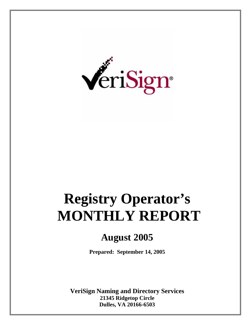

# **Registry Operator's MONTHLY REPORT**

### **August 2005**

**Prepared: September 14, 2005** 

**VeriSign Naming and Directory Services 21345 Ridgetop Circle Dulles, VA 20166-6503**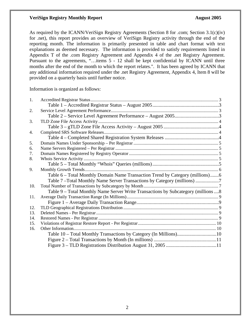As required by the ICANN/VeriSign Registry Agreements (Section 8 for .com; Section 3.1(c)(iv) for .net), this report provides an overview of VeriSign Registry activity through the end of the reporting month. The information is primarily presented in table and chart format with text explanations as deemed necessary. The information is provided to satisfy requirements listed in Appendix T of the .com Registry Agreement and Appendix 4 of the .net Registry Agreement. Pursuant to the agreements, "…items 5 - 12 shall be kept confidential by ICANN until three months after the end of the month to which the report relates.". It has been agreed by ICANN that any additional information required under the .net Registry Agreement, Appendix 4, Item 8 will be provided on a quarterly basis until further notice.

Information is organized as follows:

| 1.  |                                                                                     |  |
|-----|-------------------------------------------------------------------------------------|--|
|     |                                                                                     |  |
| 2.  |                                                                                     |  |
|     |                                                                                     |  |
| 3.  |                                                                                     |  |
|     |                                                                                     |  |
| 4.  |                                                                                     |  |
|     |                                                                                     |  |
| 5.  |                                                                                     |  |
| 6.  |                                                                                     |  |
| 7.  |                                                                                     |  |
| 8.  |                                                                                     |  |
|     |                                                                                     |  |
| 9.  |                                                                                     |  |
|     | Table 6 – Total Monthly Domain Name Transaction Trend by Category (millions)6       |  |
|     | Table 7-Total Monthly Name Server Transactions by Category (millions)               |  |
| 10. |                                                                                     |  |
|     | Table 9 – Total Monthly Name Server Write Transactions by Subcategory (millions  8) |  |
| 11. |                                                                                     |  |
|     |                                                                                     |  |
| 12. |                                                                                     |  |
| 13. |                                                                                     |  |
| 14. |                                                                                     |  |
| 15. |                                                                                     |  |
| 16. |                                                                                     |  |
|     |                                                                                     |  |
|     |                                                                                     |  |
|     |                                                                                     |  |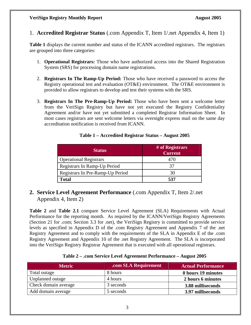1. **Accredited Registrar Status** (.com Appendix T, Item 1/.net Appendix 4, Item 1)

**Table 1** displays the current number and status of the ICANN accredited registrars. The registrars are grouped into three categories:

- 1. **Operational Registrars:** Those who have authorized access into the Shared Registration System (SRS) for processing domain name registrations.
- 2. **Registrars In The Ramp-Up Period:** Those who have received a password to access the Registry operational test and evaluation (OT&E) environment. The OT&E environment is provided to allow registrars to develop and test their systems with the SRS.
- 3. **Registrars In The Pre-Ramp-Up Period:** Those who have been sent a welcome letter from the VeriSign Registry but have not yet executed the Registry Confidentiality Agreement and/or have not yet submitted a completed Registrar Information Sheet. In most cases registrars are sent welcome letters via overnight express mail on the same day accreditation notification is received from ICANN.

| <b>Status</b>                    | # of Registrars<br><b>Current</b> |
|----------------------------------|-----------------------------------|
| <b>Operational Registrars</b>    |                                   |
| Registrars In Ramp-Up Period     | 37                                |
| Registrars In Pre-Ramp-Up Period |                                   |
| Total                            | 537                               |

#### **Table 1 – Accredited Registrar Status – August 2005**

**2. Service Level Agreement Performance** (.com Appendix T, Item 2/.net Appendix 4, Item 2)

**Table 2** and **Table 2.1** compare Service Level Agreement (SLA) Requirements with Actual Performance for the reporting month. As required by the ICANN/VeriSign Registry Agreements (Section 21 for .com; Section 3.3 for .net), the VeriSign Registry is committed to provide service levels as specified in Appendix D of the .com Registry Agreement and Appendix 7 of the .net Registry Agreement and to comply with the requirements of the SLA in Appendix E of the .com Registry Agreement and Appendix 10 of the .net Registry Agreement. The SLA is incorporated into the VeriSign Registry Registrar Agreement that is executed with all operational registrars.

#### **Table 2 – .com Service Level Agreement Performance – August 2005**

| <b>Metric</b>        | .com SLA Requirement | <b>Actual Performance</b> |
|----------------------|----------------------|---------------------------|
| Total outage         | 8 hours              | 0 hours 19 minutes        |
| Unplanned outage     | 4 hours              | 2 hours 6 minutes         |
| Check domain average | 3 seconds            | 3.88 milliseconds         |
| Add domain average   | 5 seconds            | 3.97 milliseconds         |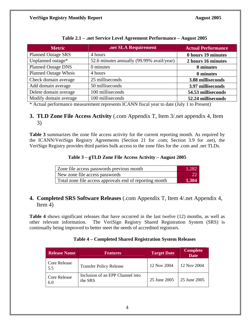| <b>Metric</b>               | .net SLA Requirement                      | <b>Actual Performance</b> |
|-----------------------------|-------------------------------------------|---------------------------|
| <b>Planned Outage SRS</b>   | 4 hours                                   | 0 hours 19 minutes        |
| Unplanned outage*           | 52.6 minutes annually (99.99% avail/year) | 2 hours 16 minutes        |
| <b>Planned Outage DNS</b>   | 0 minutes                                 | 0 minutes                 |
| <b>Planned Outage Whois</b> | 4 hours                                   | 0 minutes                 |
| Check domain average        | 25 milliseconds                           | 3.88 milliseconds         |
| Add domain average          | 50 milliseconds                           | 3.97 milliseconds         |
| Delete domain average       | 100 milliseconds                          | 54.53 milliseconds        |
| Modify domain average       | 100 milliseconds                          | 52.24 milliseconds        |

|  |  | Table 2.1 – .net Service Level Agreement Performance – August 2005 |
|--|--|--------------------------------------------------------------------|
|  |  |                                                                    |

\* Actual performance measurement represents ICANN fiscal year to date (July 1 to Present)

#### **3. TLD Zone File Access Activity** (.com Appendix T, Item 3/.net appendix 4, Item 3)

**Table 3** summarizes the zone file access activity for the current reporting month. As required by the ICANN/VeriSign Registry Agreements (Section 21 for .com; Section 3.9 for .net), the VeriSign Registry provides third parties bulk access to the zone files for the .com and .net TLDs.

#### **Table 3 – gTLD Zone File Access Activity – August 2005**

| Zone file access passwords previous month               | 1.282 |
|---------------------------------------------------------|-------|
| New zone file access passwords                          |       |
| Total zone file access approvals end of reporting month | 1.304 |

#### **4. Completed SRS Software Releases** (.com Appendix T, Item 4/.net Appendix 4, Item 4)

**Table 4** shows significant releases that have occurred in the last twelve (12) months, as well as other relevant information. The VeriSign Registry Shared Registration System (SRS) is continually being improved to better meet the needs of accredited registrars.

#### **Table 4 – Completed Shared Registration System Releases**

| <b>Release Name</b>        | <b>Features</b>                             |             | <b>Complete</b><br><b>Date</b> |
|----------------------------|---------------------------------------------|-------------|--------------------------------|
| Core Release<br>5.5        | <b>Transfer Policy Release</b>              | 12 Nov 2004 | 12 Nov 2004                    |
| <b>Core Release</b><br>6.0 | Inclusion of an EPP Channel into<br>the SRS |             | 25 June 2005                   |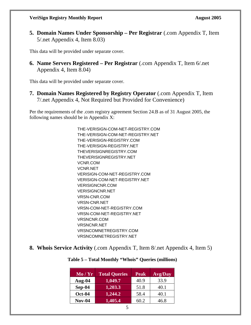**5. Domain Names Under Sponsorship – Per Registrar** (.com Appendix T, Item 5/.net Appendix 4, Item 8.03)

This data will be provided under separate cover.

**6. Name Servers Registered – Per Registrar** (.com Appendix T, Item 6/.net Appendix 4, Item 8.04)

This data will be provided under separate cover.

**7. Domain Names Registered by Registry Operator** (.com Appendix T, Item 7/.net Appendix 4, Not Required but Provided for Convenience)

Per the requirements of the .com registry agreement Section 24.B as of 31 August 2005, the following names should be in Appendix X:

> THE-VERISIGN-COM-NET-REGISTRY.COM THE-VERISIGN-COM-NET-REGISTRY.NET THE-VERISIGN-REGISTRY.COM THE-VERISIGN-REGISTRY.NET THEVERISIGNREGISTRY.COM THEVERISIGNREGISTRY.NET VCNR.COM VCNR.NET VERISIGN-COM-NET-REGISTRY.COM VERISIGN-COM-NET-REGISTRY.NET VERISIGNCNR.COM VERISIGNCNR.NET VRSN-CNR.COM VRSN-CNR.NET VRSN-COM-NET-REGISTRY.COM VRSN-COM-NET-REGISTRY.NET VRSNCNR.COM VRSNCNR.NET VRSNCOMNETREGISTRY.COM VRSNCOMNETREGISTRY.NET

**8. Whois Service Activity** (.com Appendix T, Item 8/.net Appendix 4, Item 5)

| Mo/Yr         | <b>Total Queries</b> | <b>Peak</b> | <b>Avg/Day</b> |
|---------------|----------------------|-------------|----------------|
| Aug- $04$     | 1,049.7              | 40.9        | 33.9           |
| $Sep-04$      | 1,203.3              | 51.8        | 40.1           |
| <b>Oct-04</b> | 1,244.2              | 58.4        | 40.1           |
| $Nov-04$      | 1,405.4              | 60.2        | 46.8           |

#### **Table 5 – Total Monthly "Whois" Queries (millions)**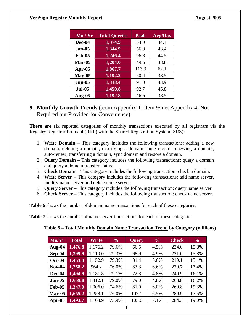| Mo/Yr         | <b>Total Queries</b> | <b>Peak</b> | <b>Avg/Day</b> |
|---------------|----------------------|-------------|----------------|
| Dec-04        | 1,374.9              | 54.9        | 44.4           |
| $Jan-05$      | 1,344.9              | 56.3        | 43.4           |
| <b>Feb-05</b> | 1,246.4              | 96.8        | 44.5           |
| Mar-05        | 1,204.0              | 49.6        | 38.8           |
| Apr- $05$     | 1,867.7              | 113.3       | 62.1           |
| $May-05$      | 1,192.2              | 50.4        | 38.5           |
| <b>Jun-05</b> | 1,318.4              | 91.0        | 43.9           |
| <b>Jul-05</b> | 1,450.8              | 92.7        | 46.8           |
| Aug-05        | 1,192.8              | 46.6        | 38.5           |

**9. Monthly Growth Trends** (.com Appendix T, Item 9/.net Appendix 4, Not Required but Provided for Convenience)

**There are** six reported categories of monthly transactions executed by all registrars via the Registry Registrar Protocol (RRP) with the Shared Registration System (SRS):

- 1. **Write Domain**  This category includes the following transactions: adding a new domain, deleting a domain, modifying a domain name record, renewing a domain, auto-renew, transferring a domain, sync domain and restore a domain.
- 2. **Query Domain** This category includes the following transactions: query a domain and query a domain transfer status.
- 3. **Check Domain** This category includes the following transaction: check a domain.
- 4. **Write Server** This category includes the following transactions: add name server, modify name server and delete name server.
- 5. **Query Server** This category includes the following transaction: query name server.
- 6. **Check Server**  This category includes the following transaction: check name server.

**Table 6** shows the number of domain name transactions for each of these categories.

**Table 7** shows the number of name server transactions for each of these categories.

| $\overline{\text{Mo/Yr}}$ | <b>Total</b> | Write   | $\frac{6}{6}$ | <b>Query</b> | $\frac{6}{6}$ | <b>Check</b> | $\frac{6}{6}$ |
|---------------------------|--------------|---------|---------------|--------------|---------------|--------------|---------------|
| Aug- $04$                 | 1,476.8      | 1,176.2 | 79.6%         | 66.5         | 4.5%          | 234.0        | 15.8%         |
| $Sep-04$                  | 1,399.9      | 1,110.0 | 79.3%         | 68.9         | 4.9%          | 221.0        | 15.8%         |
| $Oct-04$                  | 1,453.4      | 1,152.9 | 79.3%         | 81.4         | 5.6%          | 219.1        | 15.1%         |
| <b>Nov-04</b>             | 1,268.2      | 964.2   | 76.0%         | 83.3         | 6.6%          | 220.7        | 17.4%         |
| Dec-04                    | 1,494.9      | 1,181.8 | 79.1%         | 72.3         | 4.8%          | 240.9        | 16.1%         |
| <b>Jan-05</b>             | 1,659.8      | 1,312.1 | 79.0%         | 79.0         | 4.8%          | 268.8        | 16.2%         |
| <b>Feb-05</b>             | 1,347.9      | 1,006.0 | 74.6%         | 81.0         | 6.0%          | 260.8        | 19.3%         |
| $Mar-05$                  | 1,655.2      | 1,258.1 | 76.0%         | 107.1        | 6.5%          | 289.9        | 17.5%         |
| Apr- $05$                 | 1,493.7      | 1,103.9 | 73.9%         | 105.6        | 7.1%          | 284.3        | 19.0%         |

**Table 6 – Total Monthly Domain Name Transaction Trend by Category (millions)**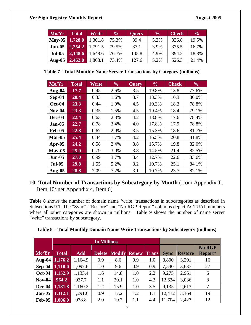| Mo/Yr                  | <b>Total</b> | Write   | $\frac{0}{0}$ | <b>Query</b> | $\frac{6}{10}$ | <b>Check</b> | $\frac{6}{6}$ |
|------------------------|--------------|---------|---------------|--------------|----------------|--------------|---------------|
| $\vert$ May-05 $\vert$ | 1,728.0      | 1,301.8 | 75.3%         | 89.4         | 5.2%           | 336.8        | 19.5%         |
| Jun-05                 | 2,254.2      | 1,791.5 | 79.5%         | 87.1         | 3.9%           | 375.5        | 16.7%         |
| <b>Jul-05</b>          | 2,148.6      | 1,648.6 | 76.7%         | 105.8        | 4.9%           | 394.2        | 18.3%         |
| Aug- $05$              | 2,462.0      | 1,808.1 | 73.4%         | 127.6        | 5.2%           | 526.3        | 21.4%         |

**Table 7 –Total Monthly Name Server Transactions by Category (millions)** 

| Mo/Yr         | <b>Total</b> | Write | $\frac{6}{6}$ | <b>Query</b> | $\frac{0}{0}$ | <b>Check</b> | $\frac{6}{6}$ |
|---------------|--------------|-------|---------------|--------------|---------------|--------------|---------------|
| Aug-04        | 17.7         | 0.45  | 2.6%          | 3.5          | 19.8%         | 13.8         | 77.6%         |
| Sep-04        | 20.4         | 0.33  | 1.6%          | 3.7          | 18.3%         | 16.3         | 80.0%         |
| <b>Oct-04</b> | 23.3         | 0.44  | 1.9%          | 4.5          | 19.3%         | 18.3         | 78.8%         |
| <b>Nov-04</b> | 23.3         | 0.35  | 1.5%          | 4.5          | 19.4%         | 18.4         | 79.1%         |
| Dec-04        | 22.4         | 0.63  | 2.8%          | 4.2          | 18.8%         | 17.6         | 78.4%         |
| $Jan-05$      | 22.7         | 0.78  | 3.4%          | 4.0          | 17.8%         | 17.9         | 78.8%         |
| <b>Feb-05</b> | 22.8         | 0.67  | 2.9%          | 3.5          | 15.3%         | 18.6         | 81.7%         |
| $Mar-05$      | 25.4         | 0.44  | 1.7%          | 4.2          | 16.5%         | 20.8         | 81.8%         |
| Apr- $05$     | 24.2         | 0.58  | 2.4%          | 3.8          | 15.7%         | 19.8         | 82.0%         |
| $May-05$      | 25.9         | 0.79  | 3.0%          | 3.8          | 14.5%         | 21.4         | 82.5%         |
| $Jun-05$      | 27.0         | 0.99  | 3.7%          | 3.4          | 12.7%         | 22.6         | 83.6%         |
| <b>Jul-05</b> | 29.8         | 1.55  | 5.2%          | 3.2          | 10.7%         | 25.1         | 84.1%         |
| Aug- $05$     | 28.8         | 2.09  | 7.2%          | 3.1          | 10.7%         | 23.7         | 82.1%         |

#### **10. Total Number of Transactions by Subcategory by Month** (.com Appendix T, Item 10/.net Appendix 4, Item 6)

**Table 8** shows the number of domain name 'write' transactions in subcategories as described in Subsections 9.1. The "Sync", "Restore" and "No RGP Report" columns depict ACTUAL numbers where all other categories are shown in millions. Table 9 shows the number of name server "write" transactions by subcategory.

|  |  |  |  | Table 8 - Total Monthly Domain Name Write Transactions by Subcategory (millions) |
|--|--|--|--|----------------------------------------------------------------------------------|
|--|--|--|--|----------------------------------------------------------------------------------|

|               |              |            | <b>In Millions</b> |      |                     |              |             |                |                          |
|---------------|--------------|------------|--------------------|------|---------------------|--------------|-------------|----------------|--------------------------|
| Mo/Yr         | <b>Total</b> | <b>Add</b> | <b>Delete</b>      |      | <b>Modify Renew</b> | <b>Trans</b> | <b>Sync</b> | <b>Restore</b> | <b>No RGP</b><br>Report* |
| Aug-04        | 1,176.2      | 1,164.9    | 0.9                | 8.6  | 0.9                 | $1.0\,$      | 8,800       | 3,291          | 16                       |
| $Sep-04$      | 1,110.0      | 1,097.6    | 1.0                | 9.6  | 0.9                 | 0.9          | 7,540       | 3,637          | 27                       |
| <b>Oct-04</b> | 1,152.9      | 1,133.4    | 1.6                | 14.8 | 1.0                 | 2.2          | 9,275       | 2,961          | 6                        |
| $Nov-04$      | 964.2        | 937.7      | 1.1                | 20.1 | 1.0                 | 4.3          | 12,634      | 3,036          | 8                        |
| Dec-04        | 1,181.8      | 1,160.2    | 1.2                | 15.9 | 1.0                 | 3.5          | 9,135       | 2,613          | 7                        |
| <b>Jan-05</b> | 1,312.1      | 1,291.6    | 0.9                | 17.2 | 1.2                 | $1.1\,$      | 12,412      | 3,164          | 19                       |
| <b>Feb-05</b> | 1,006.0      | 978.8      | 2.0                | 19.7 | 1.1                 | 4.4          | 11,704      | 2,427          | 12                       |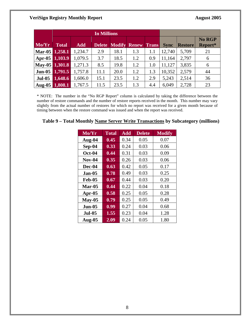|                |                      |            | <b>In Millions</b> |      |                            |              |             |                |                   |
|----------------|----------------------|------------|--------------------|------|----------------------------|--------------|-------------|----------------|-------------------|
| Mo/Yr          | <b>Total</b>         | <b>Add</b> |                    |      | <b>Delete Modify Renew</b> | <b>Trans</b> | <b>Sync</b> | <b>Restore</b> | No RGP<br>Report* |
| Mar-05 1,258.1 |                      | 1,234.7    | 2.9                | 18.1 | 1.3                        | 1.1          | 12,740      | 5,709          | 21                |
| Apr-05 1,103.9 |                      | 1,079.5    | 3.7                | 18.5 | 1.2                        | 0.9          | 11,164      | 2,797          | 6                 |
| May-05 1,301.8 |                      | 1,271.3    | 8.5                | 19.8 | 1.2                        | 1.0          | 11,127      | 3,835          | 6                 |
| $Jun-05$       | $\overline{1,791.5}$ | 1,757.8    | 11.1               | 20.0 | 1.2                        | 1.3          | 10,352      | 2,579          | 44                |
| <b>Jul-05</b>  | 1,648.6              | 1,606.0    | 15.1               | 23.5 | 1.2                        | 2.9          | 5,243       | 2,514          | 36                |
|                | Aug-05 1,808.1       | 1,767.5    | 11.5               | 23.5 | 1.3                        | 4.4          | 6,049       | 2,728          | 23                |

\* NOTE: The number in the "No RGP Report" column is calculated by taking the difference between the number of restore commands and the number of restore reports received in the month. This number may vary slightly from the actual number of restores for which no report was received for a given month because of timing between when the restore command was issued and when the report was received.

#### **Table 9 – Total Monthly Name Server Write Transactions by Subcategory (millions)**

| $\overline{\text{Mo/Yr}}$ | <b>Total</b> | <b>Add</b> | <b>Delete</b> | <b>Modify</b> |
|---------------------------|--------------|------------|---------------|---------------|
| Aug-04                    | 0.45         | 0.34       | 0.05          | 0.07          |
| Sep-04                    | 0.33         | 0.24       | 0.03          | 0.06          |
| Oct-04                    | 0.44         | 0.31       | 0.03          | 0.09          |
| <b>Nov-04</b>             | 0.35         | 0.26       | 0.03          | 0.06          |
| Dec-04                    | 0.63         | 0.42       | 0.05          | 0.17          |
| $Jan-05$                  | 0.78         | 0.49       | 0.03          | 0.25          |
| $Feb-05$                  | 0.67         | 0.44       | 0.03          | 0.20          |
| $Mar-05$                  | 0.44         | 0.22       | 0.04          | 0.18          |
| Apr-05                    | 0.58         | 0.25       | 0.05          | 0.28          |
| $May-05$                  | 0.79         | 0.25       | 0.05          | 0.49          |
| <b>Jun-05</b>             | 0.99         | 0.27       | 0.04          | 0.68          |
| <b>Jul-05</b>             | 1.55         | 0.23       | 0.04          | 1.28          |
| <b>Aug-05</b>             | 2.09         | 0.24       | 0.05          | 1.80          |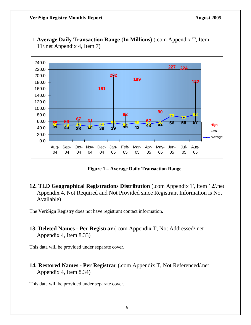

11.**Average Daily Transaction Range (In Millions)** (.com Appendix T, Item 11/.net Appendix 4, Item 7)

**Figure 1 – Average Daily Transaction Range** 

**12. TLD Geographical Registrations Distribution** (.com Appendix T, Item 12/.net Appendix 4, Not Required and Not Provided since Registrant Information is Not Available)

The VeriSign Registry does not have registrant contact information.

**13. Deleted Names - Per Registrar** (.com Appendix T, Not Addressed/.net Appendix 4, Item 8.33)

This data will be provided under separate cover.

**14. Restored Names - Per Registrar** (.com Appendix T, Not Referenced/.net Appendix 4, Item 8.34)

This data will be provided under separate cover.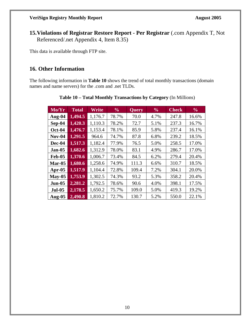**15.Violations of Registrar Restore Report - Per Registrar** (.com Appendix T, Not Referenced/.net Appendix 4, Item 8.35)

This data is available through FTP site.

#### **16. Other Information**

The following information in **Table 10** shows the trend of total monthly transactions (domain names and name servers) for the .com and .net TLDs.

| Mo/Yr         | <b>Total</b> | Write   | $\frac{6}{6}$ | <b>Query</b> | $\frac{6}{6}$ | <b>Check</b> | $\frac{0}{0}$ |
|---------------|--------------|---------|---------------|--------------|---------------|--------------|---------------|
| Aug-04        | 1,494.5      | 1,176.7 | 78.7%         | 70.0         | 4.7%          | 247.8        | 16.6%         |
| $Sep-04$      | 1,420.3      | 1,110.3 | 78.2%         | 72.7         | 5.1%          | 237.3        | 16.7%         |
| <b>Oct-04</b> | 1,476.7      | 1,153.4 | 78.1%         | 85.9         | 5.8%          | 237.4        | 16.1%         |
| $Nov-04$      | 1,291.5      | 964.6   | 74.7%         | 87.8         | 6.8%          | 239.2        | 18.5%         |
| Dec-04        | 1,517.3      | 1,182.4 | 77.9%         | 76.5         | 5.0%          | 258.5        | 17.0%         |
| <b>Jan-05</b> | 1,682.6      | 1,312.9 | 78.0%         | 83.1         | 4.9%          | 286.7        | 17.0%         |
| <b>Feb-05</b> | 1,370.6      | 1,006.7 | 73.4%         | 84.5         | 6.2%          | 279.4        | 20.4%         |
| $Mar-05$      | 1,680.6      | 1,258.6 | 74.9%         | 111.3        | 6.6%          | 310.7        | 18.5%         |
| Apr- $05$     | 1,517.9      | 1,104.4 | 72.8%         | 109.4        | 7.2%          | 304.1        | 20.0%         |
| $May-05$      | 1,753.9      | 1,302.5 | 74.3%         | 93.2         | 5.3%          | 358.2        | 20.4%         |
| <b>Jun-05</b> | 2,281.2      | 1,792.5 | 78.6%         | 90.6         | 4.0%          | 398.1        | 17.5%         |
| <b>Jul-05</b> | 2,178.5      | 1,650.2 | 75.7%         | 109.0        | 5.0%          | 419.3        | 19.2%         |
| <b>Aug-05</b> | 2,490.8      | 1,810.2 | 72.7%         | 130.7        | 5.2%          | 550.0        | 22.1%         |

**Table 10 – Total Monthly Transactions by Category** (In Millions)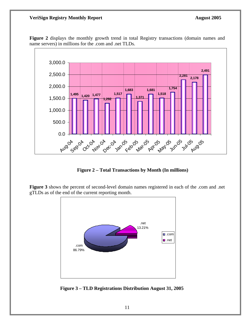

**Figure 2** displays the monthly growth trend in total Registry transactions (domain names and name servers) in millions for the .com and .net TLDs.

**Figure 2 – Total Transactions by Month (In millions)** 

**Figure 3** shows the percent of second-level domain names registered in each of the .com and .net gTLDs as of the end of the current reporting month.



 **Figure 3 – TLD Registrations Distribution August 31, 2005**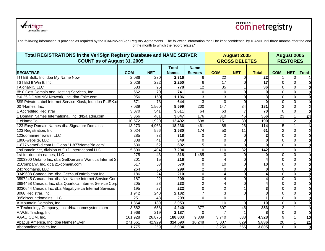

## **Comnetregistry**

|                                                               | Total REGISTRATIONS in the VeriSign Registry Database and NAME SERVER<br><b>COUNT as of August 31, 2005</b> |                  |                              |                               |                 |                 | <b>August 2005</b><br><b>GROSS DELETES</b> |                |                  |                         |
|---------------------------------------------------------------|-------------------------------------------------------------------------------------------------------------|------------------|------------------------------|-------------------------------|-----------------|-----------------|--------------------------------------------|----------------|------------------|-------------------------|
| <b>REGISTRAR</b>                                              | <b>COM</b>                                                                                                  | <b>NET</b>       | <b>Total</b><br><b>Names</b> | <b>Name</b><br><b>Servers</b> | <b>COM</b>      | <b>NET</b>      | <b>Total</b>                               | <b>COM</b>     | <b>NET</b>       | <b>Total</b>            |
| !!! BB Bulk, Inc. dba My Name Now                             | 2,086                                                                                                       | 230              | 2,316                        | 6                             | $\overline{22}$ | $\Omega$        | 22                                         |                | $\mathbf 0$      | $\mathbf{1}$            |
| ! \$ ! Bid It Win It, Inc.                                    | 2,028                                                                                                       | $\overline{222}$ | 2,250                        | 6 <sup>1</sup>                | $\overline{17}$ |                 | 17                                         | $\overline{0}$ | $\overline{0}$   | $\bf{0}$                |
| ! AlohaNIC LLC                                                | 683                                                                                                         | 95               | 778                          | 12                            | 35              |                 | 36                                         | $\overline{0}$ | $\mathbf 0$      | $\mathbf 0$             |
| 1990 Cost Domain and Hosting Services, Inc.                   | 662                                                                                                         | 79               | 741                          | $\overline{0}$                | $\Omega$        | 0               | $\bf{0}$                                   | $\overline{0}$ | $\overline{0}$   | $\mathbf 0$             |
| !\$6.25 DOMAINS! Network, Inc. dba Esite.com                  | 956                                                                                                         | 150              | 1,106                        | 13                            | $\overline{3}$  | ΩI              | 3                                          | $\Omega$       | $\mathbf 0$      | $\mathbf 0$             |
| \$\$\$ Private Label Internet Service Kiosk, Inc. dba PLISK.c | 571                                                                                                         | $\overline{73}$  | 644                          | $\overline{3}$                | $\Omega$        | $\Omega$        | $\bf{0}$                                   | $\Omega$       | $\mathbf 0$      | $\mathbf 0$             |
| 007Names, Inc.                                                | 7,039                                                                                                       | 1,560            | 8,599                        | 200                           | 147             | 34              | 181                                        | $\overline{c}$ | $\mathbf 0$      | $\overline{\mathbf{2}}$ |
| 1 Accredited Registrar                                        | 3,070                                                                                                       | 541              | 3,611                        | 64                            | 63              |                 | $\overline{70}$                            | $\Omega$       | $\overline{0}$   | $\mathbf 0$             |
| 1 Domain Names International, Inc. d/b/a 1dni.com             | 3,366                                                                                                       | 481              | 3,847                        | 176                           | 310             | 46              | 356                                        | 23             | $\mathbf{1}$     | 24                      |
| 1 eNameCo.                                                    | 10,572                                                                                                      | 1,920            | 12,492                       | 698                           | 151             | $\overline{39}$ | 190                                        |                | $\overline{2}$   | $\mathbf{3}$            |
| 123 Easy Domain Names dba Signature Domains                   | 13,273                                                                                                      | 4,963            | 18,236                       | 461                           | 88              | $\overline{26}$ | 114                                        | 5              | $\mathbf{1}$     | $6\phantom{a}$          |
| 123 Registration, Inc.                                        | 3,024                                                                                                       | 556              | 3,580                        | 174                           | 50              | 11              | 61                                         | $\overline{2}$ | $\mathbf 0$      | $\overline{\mathbf{c}}$ |
| 123domainrenewals, LLC                                        | 285                                                                                                         | 33               | 318                          | $\Omega$                      |                 | $\Omega$        | $\mathbf{2}$                               | $\mathbf 0$    | $\boldsymbol{0}$ | $\mathbf 0$             |
| 1800-website, LLC                                             | 308                                                                                                         | 41               | 349                          | $\Omega$                      | $\Omega$        | $\Omega$        | $\mathbf{0}$                               | 0              | $\mathbf 0$      | $\mathbf 0$             |
| 1-877NameBid.com LLC dba "1-877NameBid.com"                   | 630                                                                                                         | 62               | 692                          | 15                            | $\Omega$        | $\Omega$        | $\bf{0}$                                   | $\overline{0}$ | $\boldsymbol{0}$ | $\mathbf 0$             |
| 1stDomain.net, division of G+D International LLC              | 5,890                                                                                                       | 1,404            | 7,294                        | $\overline{0}$                | 110             | $\overline{32}$ | $\frac{1}{142}$                            |                | $\overline{0}$   | $\mathbf{1}$            |
| 1st-for-domain-names, LLC                                     | 275                                                                                                         | 43               | 318                          | 1,485                         | $\Omega$        | $\Omega$        | $\mathbf{0}$                               | $\Omega$       | $\overline{0}$   | $\mathbf 0$             |
| 2003300 Ontario Inc. dba GetDomainsIWant.ca Internet So       | 201                                                                                                         | 15               | $\overline{216}$             | $\Omega$                      |                 |                 |                                            | $\overline{0}$ | $\overline{0}$   | $\mathbf 0$             |
| 21 Company, Inc. dba 21-domain.com                            | 517                                                                                                         | 53               | 570                          | $\Omega$                      | 10              |                 | 10                                         | 0              | $\overline{0}$   | $\mathbf 0$             |
| 24x7domains, LLC                                              | 264                                                                                                         | 35               | 299                          | $\overline{2}$                | $\Omega$        |                 | $\bf{0}$                                   | $\mathbf 0$    | $\overline{0}$   | $\overline{\mathbf{o}}$ |
| 3349608 Canada Inc. dba GetYourDotInfo.com Inc                | 186                                                                                                         | 24               | $\overline{210}$             | $\overline{0}$                |                 | 0               |                                            | $\overline{0}$ | $\overline{0}$   | $\overline{\mathbf{o}}$ |
| 3597245 Canada Inc. dba Nic-Name Internet Service Corp        | 187                                                                                                         | $\overline{22}$  | $\overline{209}$             | $\Omega$                      |                 | 0               |                                            | $\overline{0}$ | $\overline{0}$   | $\mathbf 0$             |
| 3684458 Canada, Inc. dba Quark.ca Internet Service Corp       | 205                                                                                                         | $\overline{28}$  | 233                          | $\overline{2}$                |                 | $\Omega$        | 4                                          | $\Omega$       | $\overline{0}$   | $\mathbf 0$             |
| 6230644 Canada Inc. dba Megabyte.ca Internet Services         | 195                                                                                                         | $\overline{27}$  | $\overline{222}$             | $\Omega$                      | 2               |                 | 3                                          | $\Omega$       | $\overline{0}$   | $\mathbf 0$             |
| 8068 Registrar, Inc.                                          | 1,942                                                                                                       | 240              | 2,182                        | $\overline{7}$                | $\overline{3}$  | $\Omega$        | 3                                          | $\Omega$       | $\mathbf 0$      | $\mathbf 0$             |
| 995discountdomains, LLC                                       | 251                                                                                                         | 48               | 299                          | $\Omega$                      | $\Omega$        |                 |                                            | $\Omega$       | $\mathbf 0$      | $\mathbf 0$             |
| A Mountain Domains, Inc.                                      | 1,864                                                                                                       | 189              | 2,053                        |                               | 10              | $\Omega$        | 10 <sup>1</sup>                            | $\Omega$       | $\mathbf 0$      | $\mathbf 0$             |
| A Technology Company, Inc. d/b/a namesystem.com               | 3,582                                                                                                       | 658              | 4,240                        | 377                           | 307             | 46              | 353                                        | $\overline{2}$ | $\mathbf{1}$     | $\mathbf{3}$            |
| A.W.B. Trading, Inc.                                          | 1,968                                                                                                       | 219              | 2,187                        | $\Omega$                      |                 |                 | 8                                          | $\Omega$       | $\mathbf 0$      | $\mathbf 0$             |
| AAAQ.COM, Inc.                                                | 161,928                                                                                                     | 26,875           | 188,803                      | 9,309                         | 3,740           | 588             | 4,328                                      | $\overline{9}$ | $\overline{1}$   | 10                      |
| Abacus America, Inc. dba Names4Ever                           | 271,661                                                                                                     | 42,929           | 314,590                      | 10,248                        | 5,007           | 829             | 5,836                                      | 20             | $\mathbf{1}$     | 21                      |
| Abdomainations.ca Inc.                                        | 1,775                                                                                                       | 259              | 2,034                        | $\mathbf{1}$                  | 3,250           | 555             | 3,805                                      | $\overline{0}$ | $\overline{0}$   | $\mathbf 0$             |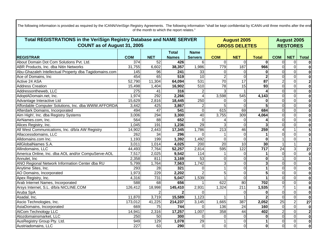| Total REGISTRATIONS in the VeriSign Registry Database and NAME SERVER |                  |                 |              |                 |                      | <b>August 2005</b> |                 |                 |                | <b>August 2005</b>      |  |  |
|-----------------------------------------------------------------------|------------------|-----------------|--------------|-----------------|----------------------|--------------------|-----------------|-----------------|----------------|-------------------------|--|--|
| <b>COUNT as of August 31, 2005</b>                                    |                  |                 |              |                 | <b>GROSS DELETES</b> | <b>RESTORES</b>    |                 |                 |                |                         |  |  |
|                                                                       |                  |                 | Total        | <b>Name</b>     |                      |                    |                 |                 |                |                         |  |  |
| <b>REGISTRAR</b>                                                      | <b>COM</b>       | <b>NET</b>      | <b>Names</b> | <b>Servers</b>  | <b>COM</b>           | <b>NET</b>         | <b>Total</b>    | <b>COM</b>      | <b>NET</b>     | <b>Total</b>            |  |  |
| About Domain Dot Com Solutions Pvt. Ltd.                              | $\overline{374}$ | $\overline{52}$ | 426          | 6               | $\Omega$             | $\Omega$           | $\Omega$        | $\overline{0}$  | $\mathbf 0$    |                         |  |  |
| ABR Products, Inc. dba Nitin Networks                                 | 31,755           | 6,602           | 38,357       | 1,986           | 779                  | 187                | 966             | $\Omega$        | $\overline{0}$ | $\bf{0}$                |  |  |
| Abu-Ghazaleh Intellectual Property dba Tagidomains.com                | 145              | 96              | 241          | 33              | $\Omega$             | $\Omega$           | 0               | $\Omega$        | $\overline{0}$ | $\bf{0}$                |  |  |
| Ace of Domains, Inc                                                   | 454              | 65              | 519          | $\overline{10}$ | $\overline{2}$       | $\Omega$           | $\mathbf{z}$    | $\Omega$        | $\overline{0}$ | $\overline{\mathbf{0}}$ |  |  |
| Active 24 ASA                                                         | 52,790           | 11,304          | 64,094       | 531             | 70                   | $\overline{17}$    | $\overline{87}$ | $\overline{2}$  | $\overline{0}$ | $\overline{2}$          |  |  |
| <b>Address Creation</b>                                               | 15,498           | 1,404           | 16,902       | 510             | 78                   | $\overline{15}$    | 93              | $\Omega$        | $\overline{0}$ | $\bf{0}$                |  |  |
| Addressontheweb, LLC                                                  | $\overline{275}$ | 41              | 316          | $\overline{2}$  | 3                    |                    |                 | $\Omega$        | $\overline{0}$ | $\overline{\mathbf{0}}$ |  |  |
| AdoptADomain.net, Inc.                                                | 1,974            | 292             | 2,266        | $\overline{4}$  | 3,598                | 545                | 4,143           | $\overline{0}$  | $\overline{0}$ | $\overline{\mathbf{0}}$ |  |  |
| Advantage Interactive Ltd                                             | 15,629           | 2,816           | 18,445       | 250             | $\Omega$             | $\Omega$           | 0               | $\overline{0}$  | $\overline{0}$ | $\overline{\mathbf{0}}$ |  |  |
| Affordable Computer Solutions, Inc. dba WWW.AFFORDA                   | 3,442            | 425             | 3,867        | $\overline{c}$  | 5                    | $\Omega$           | 5               | $\Omega$        | $\overline{0}$ | $\overline{\mathbf{0}}$ |  |  |
| Afterdark Domains, Incorporated                                       | 494              | $\overline{47}$ | 541          | $\mathbf 0$     | 615                  | 69                 | 684             | $\overline{0}$  | $\overline{0}$ | $\overline{\mathbf{0}}$ |  |  |
| Aim High!, Inc. dba Registry Systems                                  | 3,006            | 294             | 3,300        | 40              | 3,755                | 309                | 4,064           | $\overline{0}$  | $\overline{0}$ | $\mathbf 0$             |  |  |
| AirNames.com, Inc.                                                    | 564              | $\overline{88}$ | 652          | $\Omega$        |                      | $\Omega$           |                 | $\Omega$        | $\Omega$       | $\overline{\mathbf{0}}$ |  |  |
| Alices Registry, Inc.                                                 | 1,045            | 191             | 1,236        | $\overline{29}$ |                      | $\Omega$           |                 | $\Omega$        | $\overline{0}$ | $\bf{0}$                |  |  |
| All West Communications, Inc. d/b/a AW Registry                       | 14,902           | 2,443           | 17,345       | 1,786           | 213                  | 46                 | 259             | $\overline{4}$  | $\mathbf{1}$   | $\overline{5}$          |  |  |
| Allaccessdomains, LLC                                                 | 262              | 34              | 296          | $\Omega$        |                      | $\Omega$           |                 | $\Omega$        | $\overline{0}$ | $\overline{\mathbf{0}}$ |  |  |
| Alldomains.com Inc.                                                   | 1,193            | 199             | 1,392        | 1,492           | $\overline{0}$       | $\Omega$           | $\bf{0}$        |                 | $\overline{0}$ | 1                       |  |  |
| AllGlobalNames S.A.                                                   | 3,011            | 1,014           | 4,025        | 200             | 20                   | 10                 | 30              |                 | $\mathbf{1}$   | $\overline{2}$          |  |  |
| Allindomains, LLC                                                     | 44,493           | 7,764           | 52,257       | 2,814           | 595                  | $\overline{122}$   | 717             | $\overline{24}$ | $\overline{3}$ | $\overline{27}$         |  |  |
| America Online, Inc. dba AOL and/or CompuServe-AOL                    | 7,517            | 2,025           | 9,542        | 114             |                      | $\Omega$           |                 | $\Omega$        | $\overline{0}$ | $\bf{0}$                |  |  |
| Annulet, Inc                                                          | 2,358            | 811             | 3,169        | $\overline{53}$ | $\Omega$             | $\Omega$           | $\bf{0}$        | $\mathbf{1}$    | $\overline{0}$ | $\overline{1}$          |  |  |
| ANO Regional Network Information Center dba RU                        | 5,799            | 1,764           | 7,563        | 1,742           | 3                    | $\Omega$           | 3               | $\Omega$        | $\overline{0}$ | $\bf{0}$                |  |  |
| Anytime Sites, Inc.                                                   | 293              | 28              | 321          | $\Omega$        |                      | $\Omega$           |                 | $\overline{0}$  | $\overline{0}$ | $\overline{\mathbf{0}}$ |  |  |
| AO Domains, Incorporated                                              | 1,973            | 229             | 2,202        |                 | 5                    | $\Omega$           | $\overline{5}$  | $\overline{0}$  | $\overline{0}$ | $\overline{\mathbf{0}}$ |  |  |
| Apex Registry, Inc.                                                   | 4,316            | 731             | 5,047        | 1,539           |                      | $\mathbf 0$        |                 | $\Omega$        | $\overline{0}$ | $\overline{\mathbf{0}}$ |  |  |
| Arab Internet Names, Incorporated                                     | 588              | 68              | 656          |                 | 622                  | $\overline{80}$    | 702             | $\overline{0}$  | $\overline{0}$ | $\mathbf 0$             |  |  |
| Arsys Internet, S.L. d/b/a NICLINE.COM                                | 126,412          | 18,998          | 145,410      | 2,931           | 1,324                | 211                | 1,535           | $\overline{7}$  | 1              | $\overline{\mathbf{8}}$ |  |  |
| Aruba SpA                                                             |                  |                 |              | $\Omega$        |                      | $\Omega$           | 0               | $\overline{0}$  | $\overline{0}$ | $\overline{\mathbf{0}}$ |  |  |
| Asadal, Inc.                                                          | 11,870           | 3,719           | 15,589       | 1,123           |                      |                    |                 | $\Omega$        | $\overline{0}$ | $\overline{\mathbf{0}}$ |  |  |
| Ascio Technologies, Inc.                                              | 173,012          | 41,225          | 214,237      | 3,145           | 1,665                | 387                | 2,052           | 25              | $\overline{2}$ | $\overline{27}$         |  |  |
| AsiaDomains, Incorporated                                             | 669              | 75              | 744          | $\Omega$        | 136                  | 24                 | 160             | $\overline{0}$  | $\overline{0}$ | $\mathbf 0$             |  |  |
| <b>AtCom Technology LLC</b>                                           | 14,941           | 2,316           | 17,257       | 1,007           | 358                  | 44                 | 402             | $\overline{2}$  | $\overline{0}$ | $\overline{2}$          |  |  |
| Atozdomainsmarket, LLC                                                | 250              | 50              | 300          | $\Omega$        | $\Omega$             | $\Omega$           | $\bf{0}$        | $\overline{0}$  | $\overline{0}$ | $\overline{\mathbf{0}}$ |  |  |
| AusRegistry Group Pty. Ltd.                                           | 949              | 129             | 1,078        | $\overline{29}$ |                      | $\mathbf 0$        |                 | $\Omega$        | $\overline{0}$ | $\bf{0}$                |  |  |
| Austriadomains, LLC                                                   | 227              | 63              | 290          | $\overline{0}$  | $\Omega$             | $\Omega$           | $\mathbf{0}$    | $\overline{0}$  | $\Omega$       | $\overline{\mathbf{0}}$ |  |  |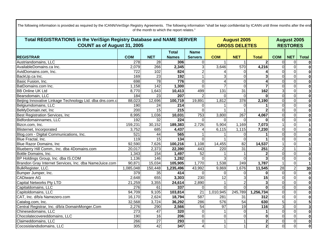| Total REGISTRATIONS in the VeriSign Registry Database and NAME SERVER |                  |                 |                  |                 |                 | <b>August 2005</b>   |                  |                 |                         | <b>August 2005</b>      |  |  |
|-----------------------------------------------------------------------|------------------|-----------------|------------------|-----------------|-----------------|----------------------|------------------|-----------------|-------------------------|-------------------------|--|--|
| <b>COUNT as of August 31, 2005</b>                                    |                  |                 |                  |                 |                 | <b>GROSS DELETES</b> |                  | <b>RESTORES</b> |                         |                         |  |  |
|                                                                       |                  |                 | <b>Total</b>     | <b>Name</b>     |                 |                      |                  |                 |                         |                         |  |  |
| <b>REGISTRAR</b>                                                      | <b>COM</b>       | <b>NET</b>      | <b>Names</b>     | <b>Servers</b>  | <b>COM</b>      | <b>NET</b>           | <b>Total</b>     | <b>COM</b>      | <b>NET</b>              | <b>Total</b>            |  |  |
| Austriandomains, LLC                                                  | 278              | $\overline{28}$ | 306              | 0               |                 |                      | $\overline{2}$   | $\overline{0}$  | $\mathbf 0$             |                         |  |  |
| AvailableDomains.ca Inc.                                              | 2,079            | 266             | 2,345            | 3               | 3,646           | 570                  | 4,216            | $\overline{0}$  | $\mathbf 0$             | $\mathbf 0$             |  |  |
| AvidDomains.com, Inc.                                                 | 722              | 102             | 824              | $\overline{2}$  |                 | $\Omega$             |                  | $\Omega$        | $\overline{0}$          | $\mathbf 0$             |  |  |
| BackUp.ca Inc.                                                        | 169              | 23              | 192              |                 |                 | $\Omega$             | 3                | $\Omega$        | $\overline{0}$          | $\bf{0}$                |  |  |
| Basic Fusion, Inc.                                                    | 698              | $\overline{78}$ | 776              | $\mathbf{0}$    | 4               | $\Omega$             |                  | $\Omega$        | $\overline{0}$          | $\mathbf 0$             |  |  |
| BatDomains.com Inc.                                                   | 1,158            | 142             | 1,300            | 0               |                 | $\Omega$             |                  | $\Omega$        | $\overline{0}$          | $\overline{\mathbf{0}}$ |  |  |
| <b>BB Online UK Ltd</b>                                               | 8,770            | 1,643           | 10,413           | 499             | 131             | 31                   | 162              | 3 <sup>1</sup>  | $\overline{0}$          | $\overline{\mathbf{3}}$ |  |  |
| Bearsdomain, LLC                                                      | 184              | 23              | 207              |                 | $\Omega$        | $\Omega$             | $\Omega$         | $\overline{0}$  | $\overline{0}$          | $\overline{\mathbf{0}}$ |  |  |
| Beijing Innovative Linkage Technology Ltd. dba dns.com.c              | 88,023           | 12,696          | 100,719          | 19,891          | 1,812           | 378                  | 2,190            | $\overline{0}$  | $\overline{0}$          | $\overline{\mathbf{0}}$ |  |  |
| Belgiumdomains, LLC                                                   | 190              | 24              | 214              | $\Omega$        |                 |                      |                  | $\Omega$        | $\overline{0}$          | $\mathbf 0$             |  |  |
| BeMyDomain.net, Inc.                                                  | $\overline{200}$ | 15              | $\overline{215}$ | $\Omega$        |                 |                      |                  | $\overline{0}$  | $\overline{0}$          | $\mathbf 0$             |  |  |
| Best Registration Services, Inc.                                      | 8,995            | 1,036           | 10,031           | 753             | 3,800           | 267                  | 4,067            | $\Omega$        | $\overline{0}$          | $\mathbf 0$             |  |  |
| Bidfordomainnames, LLC                                                | 192              | 32              | 224              | $\Omega$        | $\Omega$        | $\Omega$             | <sup>0</sup>     | $\Omega$        | $\overline{0}$          | $\mathbf 0$             |  |  |
| Bizcn.com, Inc.                                                       | 159,231          | 30,152          | 189,383          | 2,726           | 5,904           | 1,169                | 7,073            | $\mathbf 1$     | $\overline{0}$          |                         |  |  |
| Blisternet, Incorporated                                              | 3,752            | 685             | 4,437            |                 | 6,115           | 1,115                | 7,230            | $\overline{0}$  | $\overline{0}$          | $\bf{0}$                |  |  |
| Blog.com - Digital Communications, Inc.                               | 521              | 44              | 565              |                 |                 | $\Omega$             |                  | $\Omega$        | $\overline{0}$          | $\overline{\mathbf{0}}$ |  |  |
| Blue Fractal, Inc.                                                    | 119              | 15              | $\overline{134}$ | 0               |                 | $\Omega$             |                  | $\mathbf 0$     | $\overline{0}$          | $\mathbf 0$             |  |  |
| <b>Blue Razor Domains, Inc.</b>                                       | 92,590           | 7,626           | 100,216          | 1,108           | 14,455          | $\overline{82}$      | 14,537           |                 | $\overline{0}$          |                         |  |  |
| Blueberry Hill Comm., Inc. dba 4Domains.com                           | 20,017           | 2,373           | 22,390           | 443             | 220             | $\overline{31}$      | $\overline{251}$ | $\overline{2}$  | $\mathbf{1}$            | 3                       |  |  |
| Bottle Domains, Inc.                                                  | 1,343            | 154             | 1,497            | 52              |                 |                      | $\mathbf{2}$     | $\Omega$        | $\overline{0}$          | $\mathbf 0$             |  |  |
| BP Holdings Group, Inc. dba IS.COM                                    | 1,136            | 146             | 1,282            | $\Omega$        | 3               | $\Omega$             |                  | $\Omega$        | $\overline{0}$          | $\overline{\mathbf{0}}$ |  |  |
| Brandon Gray Internet Services, Inc. dba NameJuice.com                | 90,871           | 15,034          | 105,905          | 1,770           | 1,538           | $\overline{249}$     | 1,787            |                 | $\overline{0}$          |                         |  |  |
| BulkRegister, LLC.                                                    | 1,085,048        | 150,448         | 1,235,496        | 43,992          | 9,869           | 1,676                | 11,545           | $\overline{28}$ | $\overline{2}$          | 30                      |  |  |
| Bumper Jumper, Inc.<br>CADiware AG                                    | 379              | 35              | 414              | $\Omega$        | $\Omega$        | $\Omega$             | $\bf{0}$         | $\overline{0}$  | $\overline{0}$          | $\bf{0}$                |  |  |
|                                                                       | 2,648            | 655             | 3,303            | 230             | 12              |                      | 15               | $\overline{0}$  | $\overline{0}$          | $\overline{\mathbf{0}}$ |  |  |
| <b>Capital Networks Pty LTD</b>                                       | 21,259           | 3,355           | 24,614           | 2,890           |                 | $\overline{2}$       | 3                | $\Omega$        | $\overline{0}$          | $\overline{\mathbf{0}}$ |  |  |
| Capitaldomains, LLC                                                   | 276              | 61              | 337              | $\Omega$        | $\Omega$        | $\Omega$             | $\Omega$         | $\overline{0}$  | $\overline{0}$          | $\overline{\mathbf{0}}$ |  |  |
| Capitoldomains, LLC                                                   | 94,709           | 9,105           | 103,814          | 21              | 1,010,945       | 245,789              | 1,256,734        | $\Omega$        | $\overline{0}$          | $\overline{\mathbf{0}}$ |  |  |
| CAT, Inc. d/b/a Namezero.com                                          | 16,170           | 2,624           | 18,794           | 587             | 281             | 31                   | 312              | $\Omega$        | $\overline{0}$          | $\overline{\mathbf{0}}$ |  |  |
| Catalog.com, Inc.                                                     | 32,568           | 3,724           | 36,292           | 286             | 576             | 54                   | 630              | 5               | $\overline{0}$          | 5                       |  |  |
| Central Registrar, Inc. d/b/a DomainMonger.Com                        | 2,276            | 290             | 2,566            | $\overline{54}$ | $\overline{97}$ | $\overline{19}$      | 116              | $\overline{3}$  | $\overline{0}$          | $\overline{\mathbf{3}}$ |  |  |
| Chinesedomains, LLC                                                   | $\overline{273}$ | 47              | 320              | $\Omega$        |                 | $\Omega$             |                  | $\Omega$        | $\overline{0}$          | $\overline{\mathbf{0}}$ |  |  |
| Chocolatecovereddomains, LLC                                          | 190              | 16              | 206              | $\Omega$        | $\Omega$        | $\Omega$             | $\bf{0}$         | $\Omega$        | $\overline{0}$          | $\mathbf 0$             |  |  |
| Claimeddomains, LLC                                                   | 266              | $\overline{27}$ | 293              | $\mathbf 0$     |                 |                      | $\overline{2}$   | $\mathbf 0$     | $\overline{\mathsf{o}}$ | $\overline{\mathbf{0}}$ |  |  |
| Cocosislandsdomains, LLC                                              | 305              | 42              | 347              | 4               |                 |                      | $\overline{2}$   | $\overline{0}$  | $\overline{0}$          | $\overline{\mathbf{0}}$ |  |  |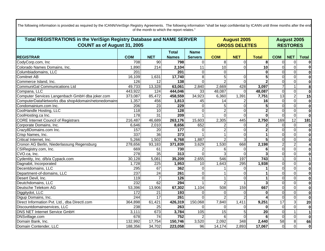| Total REGISTRATIONS in the VeriSign Registry Database and NAME SERVER<br><b>COUNT as of August 31, 2005</b> |                  |                 |                  |                   |                | <b>August 2005</b><br><b>GROSS DELETES</b> |                  |                 |                | <b>August 2005</b><br><b>RESTORES</b> |  |  |
|-------------------------------------------------------------------------------------------------------------|------------------|-----------------|------------------|-------------------|----------------|--------------------------------------------|------------------|-----------------|----------------|---------------------------------------|--|--|
|                                                                                                             |                  |                 |                  |                   |                |                                            |                  |                 |                |                                       |  |  |
|                                                                                                             |                  |                 | <b>Total</b>     | <b>Name</b>       |                |                                            |                  |                 |                |                                       |  |  |
| <b>REGISTRAR</b>                                                                                            | <b>COM</b>       | <b>NET</b>      | <b>Names</b>     | <b>Servers</b>    | <b>COM</b>     | <b>NET</b>                                 | <b>Total</b>     | <b>COM</b>      | <b>NET</b>     | <b>Total</b>                          |  |  |
| CodyCorp.com, Inc                                                                                           | 708              | 90              | 798              | $\Omega$          | 8              | $\Omega$                                   | 8 <sup>1</sup>   | $\Omega$        | $\overline{0}$ | $\mathbf 0$                           |  |  |
| Colorado Names Domains, Inc.                                                                                | 1,890            | 214             | 2,104            | 11                | 10             | $\Omega$                                   | 10               | $\Omega$        | $\Omega$       | $\mathbf 0$                           |  |  |
| Columbiadomains, LLC                                                                                        | 201              |                 | $\overline{201}$ | 0                 | $\Omega$       |                                            | 0                | $\Omega$        | $\overline{0}$ | $\mathbf 0$                           |  |  |
| <b>Comitnet AB</b>                                                                                          | 16,109           | 1,631           | 17,740           | $\overline{8}$    | 5              | $\Omega$                                   | 5                | $\Omega$        | $\Omega$       | $\mathbf 0$                           |  |  |
| Commerce Island, Inc.                                                                                       | 126              | $\overline{12}$ | 138              | $\Omega$          |                | $\Omega$                                   |                  | $\Omega$        | $\overline{0}$ | $\bf{0}$                              |  |  |
| <b>CommuniGal Communications Ltd</b>                                                                        | 49,733           | 13,328          | 63,061           | 2,840             | 2,669          | 428                                        | 3,097            | $\overline{7}$  | 1              | $\overline{\mathbf{8}}$               |  |  |
| Compana, LLC                                                                                                | 443,922          | 124             | 444,046          | 33                | 48,087         | $\Omega$                                   | 48,087           | $\overline{0}$  | $\overline{0}$ | $\overline{\mathbf{0}}$               |  |  |
| Computer Services Langenbach GmbH dba joker.com                                                             | 373,087          | 85,472          | 458,559          | 34,923            | 6,360          | 1,391                                      | 7,751            | 13              | $\overline{2}$ | 15                                    |  |  |
| ComputerDataNetworks dba shop4domain/netonedomains                                                          | 1,357            | 456             | 1,813            | 45                | 14             |                                            | 16               | $\Omega$        | $\overline{0}$ | $\overline{\mathbf{0}}$               |  |  |
| Condomainium.com Inc.                                                                                       | 206              | 23              | $\overline{229}$ | 0                 | 5              | $\Omega$                                   | 5 <sup>1</sup>   | $\Omega$        | $\overline{0}$ | $\overline{\mathbf{0}}$               |  |  |
| CoolHandle Hosting, LLC                                                                                     | 118              | 10              | 128              | $\overline{0}$    | $\overline{2}$ | $\Omega$                                   | $\overline{2}$   | $\Omega$        | $\overline{0}$ | $\overline{\mathbf{0}}$               |  |  |
| CoolHosting.ca Inc.                                                                                         | 178              | $\overline{31}$ | 209              |                   | $\Omega$       | $\Omega$                                   | $\Omega$         | $\Omega$        | $\overline{0}$ | $\mathbf 0$                           |  |  |
| <b>CORE Internet Council of Registrars</b>                                                                  | 216,487          | 46,689          | 263,176          | 15,603            | 2,305          | 445                                        | 2,750            | 169             | 12             | 181                                   |  |  |
| Corporate Domains, Inc.                                                                                     | 6,646            | 2,010           | 8,656            | 652               |                | $\Omega$                                   |                  | $\Omega$        | $\overline{0}$ | $\bf{0}$                              |  |  |
| Crazy8Domains.com Inc.                                                                                      | 157              | 20              | 177              | $\Omega$          |                | $\Omega$                                   |                  | $\Omega$        | $\overline{0}$ | $\overline{\mathbf{0}}$               |  |  |
| Crisp Names, Inc.                                                                                           | 337              | 36              | 373              |                   |                | $\Omega$                                   |                  | $\Omega$        | $\overline{0}$ | $\bf{0}$                              |  |  |
| Critical Internet, Inc.                                                                                     | 5,266            | 1,502           | 6,768            | 1,887             |                | 3                                          |                  | $\overline{0}$  | $\overline{0}$ | $\overline{\mathbf{0}}$               |  |  |
| Cronon AG Berlin, Niederlassung Regensburg                                                                  | 278,656          | 93,183          | 371,839          | 3,629             | 1,530          | 668                                        | 2,198            | 2               | $\overline{2}$ | $\overline{\mathbf{4}}$               |  |  |
| CSIRegistry.com, Inc.                                                                                       | 669              | 61              | 730              | $\overline{2}$    | 6              | $\Omega$                                   | 6                | $\overline{0}$  | $\overline{0}$ | $\mathbf 0$                           |  |  |
| CVO.ca, Inc.                                                                                                | $\overline{278}$ | 35              | 313              | $\Omega$          | 3              | $\Omega$                                   |                  | $\Omega$        | $\overline{0}$ | $\overline{\mathbf{0}}$               |  |  |
| Cydentity, Inc. d/b/a Cypack.com                                                                            | 30,128           | 5,081           | 35,209           | 2,655             | 546            | 197                                        | $\overline{743}$ |                 | $\overline{0}$ | $\mathbf{1}$                          |  |  |
| Dagnabit, Incorporated                                                                                      | 1,728            | 225             | 1,953            | 10                | 1,643          | $\overline{295}$                           | 1,938            | $\Omega$        | $\overline{0}$ | $\overline{\mathbf{0}}$               |  |  |
| Decentdomains, LLC                                                                                          | 295              | 67              | 362              | $\Omega$          |                | $\Omega$                                   |                  | $\Omega$        | $\overline{0}$ | $\overline{\mathbf{0}}$               |  |  |
| Department-of-domains, LLC                                                                                  | 237              | $\overline{24}$ | $\overline{261}$ | $\Omega$          |                | $\Omega$                                   |                  | $\Omega$        | $\overline{0}$ | $\overline{\mathbf{0}}$               |  |  |
| Desert Devil, Inc.                                                                                          | 119              |                 | 126              | $\Omega$          |                | $\Omega$                                   |                  | $\Omega$        | $\overline{0}$ | $\overline{\mathbf{0}}$               |  |  |
| Deutchdomains, LLC                                                                                          | 232              | 62              | 294              |                   | $\overline{2}$ |                                            |                  | $\Omega$        | $\overline{0}$ | $\overline{\mathbf{0}}$               |  |  |
| Deutsche Telekom AG                                                                                         | 53,396           | 13,906          | 67,302           | 1,104             | 508            | 159                                        | 667              | $\Omega$        | $\overline{0}$ | $\overline{\mathbf{0}}$               |  |  |
| Diggitydot, LLC                                                                                             | 172              | 21              | 193              | $\Omega$          | $\Omega$       | $\Omega$                                   | $\Omega$         | $\Omega$        | $\overline{0}$ | $\overline{\mathbf{0}}$               |  |  |
| Digup Domains, Inc.                                                                                         | 244              | $\overline{17}$ | 261              | $\Omega$          | $\mathfrak{p}$ | $\mathfrak{p}$                             |                  | $\Omega$        | $\Omega$       | $\overline{\mathbf{0}}$               |  |  |
| Direct Information Pvt. Ltd., dba Directl.com                                                               | 364,898          | 61,421          | 426,319          | 150,068           | 7,840          | 1,411                                      | 9,251            | $\overline{17}$ | 3              | $\overline{20}$                       |  |  |
| Discountdomainservices, LLC                                                                                 | 238              | 25              | 263              | $\Omega$          | $\Omega$       | $\Omega$                                   | $\bf{0}$         | $\Omega$        | $\overline{0}$ | $\bf{0}$                              |  |  |
| DNS NET Internet Service GmbH                                                                               | 3,111            | 673             | 3,784            | $\frac{105}{105}$ | 15             | 5                                          | $\overline{20}$  | $\overline{0}$  | 1 <sup>1</sup> | $\overline{1}$                        |  |  |
| DNSvillage.com                                                                                              | 678              | 74              | 752              |                   | 6              | $\Omega$                                   | 6                | $\Omega$        | $\overline{0}$ | $\mathbf 0$                           |  |  |
| Domain Bank, Inc.                                                                                           | 132,992          | 17,754          | 150,746          | 3,520             | 2,092          | 348                                        | 2,440            | 58              | $\infty$       | 66                                    |  |  |
| Domain Contender, LLC                                                                                       | 188,356          | 34,702          | 223,058          | $\overline{96}$   | 14,174         | 2,893                                      | 17,067           | $\overline{O}$  | $\overline{0}$ | $\mathbf 0$                           |  |  |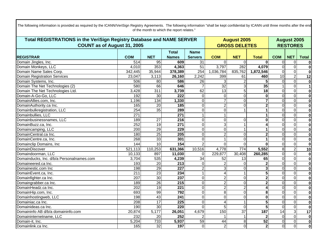| Total REGISTRATIONS in the VeriSign Registry Database and NAME SERVER |                  |                 |                  |                 |                       | <b>August 2005</b>   |                |                 |                 | <b>August 2005</b>      |  |  |
|-----------------------------------------------------------------------|------------------|-----------------|------------------|-----------------|-----------------------|----------------------|----------------|-----------------|-----------------|-------------------------|--|--|
| <b>COUNT as of August 31, 2005</b>                                    |                  |                 |                  |                 |                       | <b>GROSS DELETES</b> |                |                 | <b>RESTORES</b> |                         |  |  |
|                                                                       |                  |                 | <b>Total</b>     | <b>Name</b>     |                       |                      |                |                 |                 |                         |  |  |
| <b>REGISTRAR</b>                                                      | <b>COM</b>       | <b>NET</b>      | <b>Names</b>     | <b>Servers</b>  | <b>COM</b>            | <b>NET</b>           | <b>Total</b>   | <b>COM</b>      | <b>NET</b>      | <b>Total</b>            |  |  |
| Domain Jingles, Inc.                                                  | $\overline{514}$ | 95              | 609              | $\overline{31}$ | $\Omega$              | $\Omega$             | $\mathbf{0}$   | $\overline{0}$  | $\mathbf 0$     |                         |  |  |
| Domain Monkeys, LLC                                                   | 4,010            | 353             | 4,363            | $\overline{51}$ | 3,797                 | 282                  | 4,079          | $\Omega$        | $\overline{0}$  | $\bf{0}$                |  |  |
| Domain Name Sales Corp.                                               | 342,445          | 35,944          | 378,389          | 254             | 1,036,784             | 835,762              | 1,872,546      | $\overline{0}$  | $\mathbf 0$     | $\bf{0}$                |  |  |
| <b>Domain Registration Services</b>                                   | 23,047           | 3,113           | 26,160           | 2,242           | 399                   | 61                   | 460            | $\overline{10}$ | $\overline{2}$  | $\overline{12}$         |  |  |
| Domain Systems, Inc.                                                  | 506              | 80              | 586              | 26              |                       |                      | 5              | $\Omega$        | $\overline{0}$  | $\mathbf 0$             |  |  |
| Domain The Net Technologies (2)                                       | 580              | 66              | 646              |                 | $\overline{32}$       | 3                    | 35             |                 | $\overline{0}$  | 1                       |  |  |
| Domain The Net Technologies Ltd.                                      | 3,428            | 311             | 3,739            | 62              | 13                    | $\overline{5}$       | 18             | $\Omega$        | $\overline{0}$  | $\mathbf 0$             |  |  |
| Domain-A-Go-Go, LLC                                                   | 192              | 30              | $\overline{222}$ | 0               | $\mathbf 0$           | $\Omega$             | $\bf{0}$       | $\overline{0}$  | $\overline{0}$  | $\mathbf 0$             |  |  |
| DomainAllies.com, Inc.                                                | 1,196            | 134             | 1,330            | 0               | 7                     | $\Omega$             | 7              | $\overline{0}$  | $\overline{0}$  | $\overline{\mathbf{0}}$ |  |  |
| DomainAuthority.ca Inc.                                               | 165              | $\overline{20}$ | 185              | $\mathbf 0$     | $\overline{2}$        | $\Omega$             | $\mathbf{2}$   | $\Omega$        | $\overline{0}$  | $\mathbf 0$             |  |  |
| Domainbulkregistration, LLC                                           | 254              | 35              | 289              | 0               | $\overline{0}$        |                      |                | $\overline{0}$  | $\overline{0}$  | $\mathbf 0$             |  |  |
| Domainbullies, LLC                                                    | $\overline{271}$ |                 | 271              |                 |                       |                      |                | $\Omega$        | $\overline{0}$  | $\mathbf 0$             |  |  |
| Domainbusinessnames, LLC                                              | 189              | $\overline{27}$ | $\overline{216}$ | $\mathbf 0$     | $\Omega$              | $\Omega$             | $\Omega$       | $\Omega$        | $\overline{0}$  | $\overline{\mathbf{0}}$ |  |  |
| DomainBuzz.ca, Inc.                                                   | 252              | 19              | $\overline{271}$ | $\Omega$        | 3                     |                      |                | $\Omega$        | $\Omega$        | $\bf{0}$                |  |  |
| Domaincamping, LLC                                                    | $\overline{200}$ | 29              | 229              | 0               | $\overline{0}$        |                      |                | $\Omega$        | $\overline{0}$  | $\overline{\mathbf{0}}$ |  |  |
| DomainCentral.ca Inc.                                                 | 180              | $\overline{25}$ | 205              | $\overline{0}$  | $\overline{2}$        | $\Omega$             | $\mathbf{2}$   | $\Omega$        | $\overline{0}$  | $\overline{\mathbf{0}}$ |  |  |
| DomainCentre.ca, Inc.                                                 | 268              | $\overline{33}$ | 301              | 0               |                       | $\Omega$             |                | $\overline{0}$  | $\overline{0}$  | $\overline{\mathbf{0}}$ |  |  |
| Domainclip Domains, Inc                                               | 144              | 10              | 154              | $\overline{2}$  | $\Omega$              | $\Omega$             | $\Omega$       | $\Omega$        | $\overline{0}$  | $\mathbf 0$             |  |  |
| <b>DomainDiscover</b>                                                 | 521,113          | 110,253         | 631,366          | 10,516          | 4,778                 | $\overline{774}$     | 5,552          | 8               | $\overline{2}$  | $\overline{10}$         |  |  |
| Domaindoorman, LLC                                                    | 10,133           | 897             | 11,030           | $\Omega$        | 229,877               | 30,408               | 260,285        | $\overline{0}$  | $\overline{0}$  | $\mathbf 0$             |  |  |
| Domainducks, Inc. d/b/a Personalnames.com                             | 3,704            | 535             | 4,239            | 34              | 52                    | 13                   | 65             | $\Omega$        | $\overline{0}$  | $\overline{\mathbf{0}}$ |  |  |
| Domaineered.ca Inc.                                                   | 193              | 20              | $\overline{213}$ | 0               | $\overline{2}$        | $\Omega$             |                | $\Omega$        | $\overline{0}$  | $\overline{\mathbf{0}}$ |  |  |
| Domainestic.com Inc                                                   | 198              | 29              | 227              | $\overline{2}$  | 3                     | $\Omega$             | 3              | $\Omega$        | $\overline{0}$  | $\mathbf 0$             |  |  |
| DomainEvent.ca, Inc.                                                  | $\overline{211}$ | 23              | 234              |                 | 4                     |                      | 5              | $\Omega$        | $\overline{0}$  | $\overline{\mathbf{0}}$ |  |  |
| Domainfighter.ca Inc.                                                 | 207              | 30              | $\overline{237}$ | 0               | $\overline{2}$        | $\Omega$             | $\mathbf 2$    | $\overline{0}$  | $\overline{0}$  | $\overline{\mathbf{0}}$ |  |  |
| Domaingrabber.ca Inc.                                                 | 189              | 26              | 215              | 0               | $\overline{2}$        | $\Omega$             | $\overline{2}$ | $\overline{0}$  | $\overline{0}$  | $\mathbf 0$             |  |  |
| DomainHeadz.ca Inc.                                                   | 202              | 19              | $\overline{221}$ | $\overline{0}$  | $\overline{2}$        | $\overline{2}$       |                | $\Omega$        | $\overline{0}$  | $\mathbf 0$             |  |  |
| DomainHip.com, Inc.                                                   | 693              | 99              | 792              | 0               | 8                     | $\overline{0}$       | 8              | $\overline{0}$  | $\overline{0}$  | $\mathbf 0$             |  |  |
| Domainhostingweb, LLC                                                 | 198              | 43              | 241              | 0               | $\Omega$              | $\Omega$             | $\mathbf{0}$   | $\Omega$        | $\overline{0}$  | $\mathbf 0$             |  |  |
| Domainiac.ca Inc.                                                     | $\overline{208}$ | 17              | $\overline{225}$ | $\overline{0}$  | $\boldsymbol{\Delta}$ |                      | 5              | $\Omega$        | $\overline{0}$  | $\overline{\mathbf{0}}$ |  |  |
| Domainideas.ca Inc.                                                   | 190              | 30              | 220              | $\Omega$        | 5                     | $\Omega$             | 5              | $\Omega$        | $\overline{0}$  | $\bf{0}$                |  |  |
| Domaininfo AB d/b/a domaininfo.com                                    | 20,874           | 5,177           | 26,051           | 4,679           | 150                   | $\overline{37}$      | 187            | $\overline{14}$ | $\overline{3}$  | $\overline{17}$         |  |  |
| Domaininternetname, LLC                                               | 232              | $\overline{20}$ | 252              |                 |                       |                      | $\mathbf{2}$   | $\Omega$        | $\overline{0}$  | $\mathbf 0$             |  |  |
| Domain-it, Inc.                                                       | 5,204            | 733             | 5,937            | 59              | $\overline{44}$       | 8                    | 52             | $\overline{0}$  | $\overline{0}$  | $\mathbf 0$             |  |  |
| Domainlink.ca Inc.                                                    | 165              | 32              | 197              | $\mathbf 0$     | $\overline{2}$        | $\Omega$             | 2 <sub>1</sub> | $\overline{0}$  | $\overline{0}$  | $\mathbf 0$             |  |  |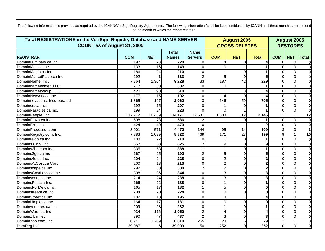| Total REGISTRATIONS in the VeriSign Registry Database and NAME SERVER |                  |                 |                  |                 | <b>August 2005</b> | <b>August 2005</b><br><b>RESTORES</b> |                 |                |              |                         |
|-----------------------------------------------------------------------|------------------|-----------------|------------------|-----------------|--------------------|---------------------------------------|-----------------|----------------|--------------|-------------------------|
| COUNT as of August 31, 2005                                           |                  |                 |                  |                 |                    | <b>GROSS DELETES</b>                  |                 |                |              |                         |
|                                                                       |                  |                 | <b>Total</b>     | <b>Name</b>     |                    |                                       |                 |                |              |                         |
| <b>REGISTRAR</b>                                                      | <b>COM</b>       | <b>NET</b>      | <b>Names</b>     | <b>Servers</b>  | <b>COM</b>         | <b>NET</b>                            | <b>Total</b>    | <b>COM</b>     | <b>NET</b>   | <b>Total</b>            |
| DomainLuminary.ca Inc.                                                | 197              | 23              | 220              | $\Omega$        | Δ                  | $\Omega$                              |                 | $\Omega$       | $\Omega$     | 0                       |
| DomainMall.ca Inc                                                     | 133              | 16              | 149              | $\overline{0}$  | $\Omega$           |                                       |                 | $\Omega$       | $\Omega$     | $\mathbf 0$             |
| DomainMania.ca Inc                                                    | 186              | $\overline{24}$ | $\overline{210}$ | $\overline{0}$  |                    | $\Omega$                              |                 | $\Omega$       | $\Omega$     | $\bf{0}$                |
| DomainMarketPlace.ca Inc                                              | 292              | 41              | 333              | $\overline{2}$  | 5                  | $\Omega$                              | 5               | $\Omega$       | $\Omega$     | $\mathbf 0$             |
| DomainName, Inc.                                                      | 7,864            | 1,364           | 9,228            | $\overline{33}$ | 187                | 42                                    | 229             | $\Omega$       | $\Omega$     | $\bf{0}$                |
| Domainnamebidder, LLC                                                 | 277              | 30              | 307              | $\Omega$        | $\Omega$           |                                       |                 | $\Omega$       | $\mathbf 0$  | $\bf{0}$                |
| Domainnamelookup, LLC                                                 | 420              | $\overline{90}$ | $\overline{510}$ | $\overline{0}$  |                    | 3                                     |                 | $\Omega$       | $\Omega$     | $\bf{0}$                |
| DomainNetwork.ca Inc.                                                 | 177              | $\overline{15}$ | 192              | $\overline{0}$  |                    | $\Omega$                              |                 | $\Omega$       | $\Omega$     | $\overline{\mathbf{0}}$ |
| Domainnovations, Incorporated                                         | 1,865            | 197             | 2,062            | 3 <sup>1</sup>  | 646                | 59                                    | 705             | $\Omega$       | $\Omega$     | $\overline{\mathbf{0}}$ |
| Domainos.ca Inc.                                                      | 192              | $\overline{15}$ | 207              | $\overline{0}$  |                    | $\Omega$                              |                 | $\Omega$       | $\Omega$     | $\overline{\mathbf{0}}$ |
| DomainParadise.ca Inc.                                                | 199              | $\overline{24}$ | 223              | $\Omega$        | $\Omega$           |                                       |                 | $\Omega$       | $\Omega$     | $\mathbf 0$             |
| DomainPeople, Inc.                                                    | 117,712          | 16,459          | 134,171          | 12,681          | 1,833              | $\overline{312}$                      | 2,145           | 11             |              | $\overline{12}$         |
| DomainPlaza.ca Inc.                                                   | 508              | $\overline{78}$ | 586              |                 |                    | $\Omega$                              |                 | $\Omega$       | $\Omega$     | $\bf{0}$                |
| DomainPro, Inc.                                                       | 424              | 49              | 473              | $\Omega$        |                    |                                       |                 | $\Omega$       | $\Omega$     | $\overline{\mathbf{0}}$ |
| DomainProcessor.com                                                   | 3,901            | 571             | 4,472            | 144             | $\overline{95}$    | 14                                    | 109             | 3              | $\Omega$     | $\overline{\mathbf{3}}$ |
| DomainRegistry.com, Inc.                                              | 7,783            | 1,039           | 8,822            | 469             | $\overline{171}$   | $\overline{28}$                       | 199             | 9              | $\mathbf{1}$ | 10                      |
| Domainreign.ca Inc.                                                   | 188              | 22              | 210              | $\Omega$        |                    | $\Omega$                              |                 | $\Omega$       | $\Omega$     | $\mathbf 0$             |
| Domains Only, Inc.                                                    | $\overline{557}$ | 68              | 625              | $\overline{2}$  | 9                  | $\Omega$                              | 9               | $\Omega$       | $\Omega$     | $\overline{\mathbf{0}}$ |
| Domains2be.com Inc.                                                   | 335              | 53              | 388              |                 |                    | $\Omega$                              |                 | $\Omega$       | $\Omega$     | $\bf{0}$                |
| Domains2go.ca Inc                                                     | 167              | $\overline{25}$ | 192              | $\overline{2}$  | 5                  | $\Omega$                              | 5               | 0              | $\Omega$     | $\overline{\mathbf{0}}$ |
| Domains4u.ca Inc.                                                     | $\overline{204}$ | $\overline{24}$ | $\overline{228}$ | $\overline{0}$  | $\overline{2}$     | $\Omega$                              | $\overline{2}$  | $\Omega$       | $\Omega$     | $\overline{\mathbf{0}}$ |
| DomainsAtCost.ca Corp                                                 | 200              | $\overline{13}$ | $\overline{213}$ | $\mathbf 0$     | $\overline{2}$     | $\Omega$                              | 2               | $\Omega$       | $\Omega$     | $\bf{0}$                |
| Domainscape.ca Inc                                                    | 292              | $\overline{38}$ | 330              | $\overline{2}$  | 2                  | $\Omega$                              | $\mathbf 2$     | $\Omega$       | $\Omega$     | $\mathbf 0$             |
| DomainsCostLess.ca Inc.                                               | 308              | 36              | 344              | $\overline{0}$  | 3                  | $\Omega$                              | 3               | $\Omega$       | $\Omega$     | $\overline{\mathbf{0}}$ |
| Domainscout.ca Inc.                                                   | 214              | $\overline{24}$ | 238              | $\overline{0}$  | 3                  | $\Omega$                              | 3               | $\Omega$       | $\Omega$     | $\overline{\mathbf{0}}$ |
| DomainsFirst.ca Inc.                                                  | 166              | $\overline{22}$ | 188              | $\mathbf 0$     |                    | $\Omega$                              |                 | $\Omega$       | $\mathbf 0$  | $\overline{\mathbf{0}}$ |
| DomainsForMe.ca Inc.                                                  | 165              | 17              | 182              |                 | 5                  | $\Omega$                              | 5               | $\Omega$       | $\Omega$     | $\overline{\mathbf{0}}$ |
| Domainstream.ca Inc.                                                  | 204              | $\overline{20}$ | $\overline{224}$ | $\Omega$        | $\Omega$           | $\Omega$                              | $\bf{0}$        | $\Omega$       | $\Omega$     | $\overline{\mathbf{0}}$ |
| DomainStreet.ca Inc.                                                  | 182              | $\overline{13}$ | 195              | $\overline{0}$  | 3                  |                                       | 4               | $\Omega$       | $\Omega$     | $\overline{\mathbf{0}}$ |
| DomainUtopia.ca Inc.                                                  | 164              | 17              | 181              | $\overline{0}$  | $\Omega$           | $\Omega$                              | 0               | $\Omega$       | $\Omega$     | $\bf{0}$                |
| Domainventures.ca Inc                                                 | 209              | $\overline{23}$ | 232              | $\Omega$        |                    | $\Omega$                              | 1               | $\Omega$       | $\Omega$     | 0                       |
| DomainWar.net, Inc                                                    | 934              | 116             | 1,050            | $\overline{2}$  | 4                  | $\Omega$                              | 4               | $\Omega$       | $\Omega$     | $\bf{0}$                |
| Domainz Limited                                                       | 390              | $\overline{47}$ | 437              | $\overline{2}$  | 3                  | $\Omega$                              | 3               | $\Omega$       | $\Omega$     | $\bf{0}$                |
| DomainZoo.com, Inc.                                                   | 6,741            | 1,269           | 8,010            | 255             | $\overline{23}$    | 6                                     | $\overline{29}$ | $\overline{a}$ |              | $\overline{3}$          |
| DomReg Ltd.                                                           | 39,087           | 6               | 39,093           | 50              | 252                | $\Omega$                              | 252             | $\Omega$       | $\Omega$     | $\mathbf 0$             |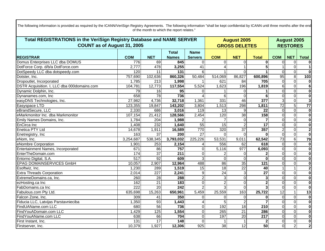| Total REGISTRATIONS in the VeriSign Registry Database and NAME SERVER |                  |                 |                  |                     |                 | <b>August 2005</b>   |                  |                 |                 | <b>August 2005</b>      |  |  |
|-----------------------------------------------------------------------|------------------|-----------------|------------------|---------------------|-----------------|----------------------|------------------|-----------------|-----------------|-------------------------|--|--|
| <b>COUNT as of August 31, 2005</b>                                    |                  |                 |                  |                     |                 | <b>GROSS DELETES</b> |                  |                 | <b>RESTORES</b> |                         |  |  |
|                                                                       |                  |                 | <b>Total</b>     | <b>Name</b>         |                 |                      |                  |                 |                 |                         |  |  |
| <b>REGISTRAR</b>                                                      | <b>COM</b>       | <b>NET</b>      | <b>Names</b>     | <b>Servers</b>      | <b>COM</b>      | <b>NET</b>           | <b>Total</b>     | <b>COM</b>      | <b>NET</b>      | <b>Total</b>            |  |  |
| Domus Enterprises LLC dba DOMUS                                       | 776              | 69              | 845              | $\mathbf 0$         | $\Omega$        | $\Omega$             | $\mathbf{0}$     | $\Omega$        | $\mathbf 0$     | $\bf{0}$                |  |  |
| DotForce Corp. d/b/a DotForce.com                                     | 2,777            | 478             | 3,255            | $\overline{41}$     |                 |                      | 5 <sup>1</sup>   |                 | $\overline{0}$  |                         |  |  |
| DotSpeedy LLC dba dotspeedy.com                                       | 120              | 11              | 131              | 6                   |                 | $\Omega$             |                  | $\Omega$        | $\overline{0}$  | $\bf{0}$                |  |  |
| Dotster, Inc.                                                         | 757,690          | 102,636         | 860,326          | $\overline{50,484}$ | 514,069         | 86,827               | 600,896          | 95              | $\infty$        | 103                     |  |  |
| Dropoutlet, Incorporated                                              | 1,785            | 213             | 1,998            |                     | 621             | 84                   | 705              | $\overline{0}$  | $\overline{0}$  | $\bf{0}$                |  |  |
| DSTR Acquisition. I, LLC dba 000domains.com                           | 104,781          | 12,773          | 117,554          | 5,524               | 1,623           | 196                  | 1,819            | $\overline{6}$  | $\overline{0}$  | $\overline{6}$          |  |  |
| Dynamic Dolphin, Inc.                                                 | 79               | 16              | 95               | $\Omega$            |                 | $\Omega$             |                  | $\overline{0}$  | $\overline{0}$  | $\overline{\mathbf{0}}$ |  |  |
| Dynanames.com, Inc                                                    | 658              | 78              | 736              |                     | 6               | $\Omega$             | 6                | $\Omega$        | $\overline{0}$  | $\overline{\mathbf{0}}$ |  |  |
| easyDNS Technologies, Inc.                                            | 27,982           | 4,736           | 32,718           | 1,361               | 331             | 46                   | $\overline{377}$ | $\overline{3}$  | $\overline{0}$  | $\overline{\mathbf{3}}$ |  |  |
| Easyspace LTD                                                         | 123,355          | 19,847          | 143,202          | 3,804               | 1,513           | 298                  | 1,811            | $\overline{72}$ | $5\overline{)}$ | $\overline{77}$         |  |  |
| eBrandSecure, LLC                                                     | 2,330            | 686             | 3,016            | 119                 | $\overline{13}$ | 9                    | 22               | $\overline{0}$  | $\overline{0}$  | $\overline{\mathbf{0}}$ |  |  |
| eMarkmonitor Inc. dba Markmonitor                                     | 107,154          | 21,412          | 128,566          | 2,454               | 120             | $\overline{38}$      | 158              | $\Omega$        | $\overline{0}$  | $\overline{\mathbf{0}}$ |  |  |
| Emily Names Domains, Inc.                                             | 1,784            | 204             | 1,988            |                     |                 | $\Omega$             | $\overline{7}$   | $\Omega$        | $\overline{0}$  | $\overline{\mathbf{0}}$ |  |  |
| EnCirca Inc                                                           | 1,408            | 232             | 1,640            | $\overline{55}$     | $\overline{15}$ | $\overline{2}$       | $\overline{17}$  | $\Omega$        | $\overline{0}$  | $\overline{\mathbf{0}}$ |  |  |
| <b>Enetica PTY Ltd</b>                                                | 14,678           | 1,911           | 16,589           | 770                 | 320             | $\overline{37}$      | 357              | $\overline{2}$  | $\overline{0}$  | $\overline{2}$          |  |  |
| Enetregistry, Inc.                                                    | 163              | $\overline{37}$ | $\overline{200}$ | $\overline{27}$     | $\Omega$        | $\Omega$             | $\Omega$         | $\Omega$        | $\overline{0}$  | $\overline{\mathbf{0}}$ |  |  |
| eNom, Inc.                                                            | 3,254,687        | 538,345         | 3,793,032        | 225,226             | 53,531          | 9,011                | 62,542           | 73              | $\overline{6}$  | 79                      |  |  |
| eNombre Corporation                                                   | 1,901            | 253             | 2,154            | 4                   | 556             | 62                   | 618              | $\overline{0}$  | $\overline{0}$  | $\overline{\mathbf{0}}$ |  |  |
| Entertainment Names, Incorporated                                     | 671              | 86              | 757              | 0                   | 5,116           | 977                  | 6,093            | $\Omega$        | $\overline{0}$  | $\overline{\mathbf{0}}$ |  |  |
| EnterTheDomain.com                                                    | 174              | 37              | 211              | $\mathbf 0$         |                 | $\Omega$             | 2                | $\Omega$        | $\overline{0}$  | $\overline{\mathbf{0}}$ |  |  |
| Entorno Digital, S.A.                                                 | $\overline{517}$ | $\overline{92}$ | 609              | 3                   | $\Omega$        | $\Omega$             | $\bf{0}$         | $\Omega$        | $\overline{0}$  | $\overline{\mathbf{0}}$ |  |  |
| <b>EPAG DOMAINSERVICES GmbH</b>                                       | 10,057           | 2,907           | 12,964           | 488                 | 86              | 35                   | $\overline{121}$ | $\Omega$        | $\overline{0}$  | $\overline{\mathbf{0}}$ |  |  |
| Esoftwiz, Inc.                                                        | 1,230            | 289             | 1,519            | 15                  | $\overline{18}$ | $\overline{22}$      | 40               | $\mathbf{1}$    | $\mathbf{1}$    | $\overline{2}$          |  |  |
| <b>Extra Threads Corporation</b>                                      | 2,014            | 227             | 2,241            | 9                   | 24              | 3                    | $\overline{27}$  | $\overline{0}$  | $\overline{0}$  | $\overline{\mathbf{0}}$ |  |  |
| ExtremeDomains.ca, Inc.                                               | 260              | $\overline{28}$ | 288              | $\overline{2}$      | 3               | $\Omega$             | 3                | $\overline{0}$  | $\overline{0}$  | $\overline{\mathbf{0}}$ |  |  |
| ezHosting.ca Inc                                                      | 162              | 21              | 183              | $\overline{0}$      | $\overline{2}$  | $\Omega$             | $\overline{2}$   | $\Omega$        | $\overline{0}$  | $\overline{\mathbf{0}}$ |  |  |
| FabDomains.ca Inc                                                     | 222              | $\overline{20}$ | 242              | $\mathcal{P}$       | 3               | $\Omega$             | 3                | $\overline{0}$  | $\overline{0}$  | $\overline{\mathbf{0}}$ |  |  |
| Fabulous.com Pty Ltd.                                                 | 635,698          | 15,263          | 650,961          | 5,459               | 25,559          | 163                  | 25,722           | 12              | $\mathbf{1}$    | 13                      |  |  |
| Falcon Zone, Inc.                                                     | 309              | 41              | 350              | $\Omega$            | $\Omega$        | $\Omega$             | $\bf{0}$         | $\Omega$        | $\overline{0}$  | $\overline{\mathbf{0}}$ |  |  |
| Fiducia LLC, Latvijas Parstavnieciba                                  | 1,350            | 93              | 1,443            |                     | 5               |                      |                  | $\mathbf 0$     | $\overline{0}$  | $\overline{\mathbf{0}}$ |  |  |
| FindUAName.com LLC                                                    | 680              | 56              | 736              | 0                   | 192             | $\overline{18}$      | 210              | $\overline{0}$  | $\overline{0}$  | $\overline{\mathbf{0}}$ |  |  |
| FindYouADomain.com LLC                                                | 1,429            | 125             | 1,554            | 0                   | 265             | $\overline{21}$      | 286              | $\overline{0}$  | $\overline{0}$  | $\overline{\mathbf{0}}$ |  |  |
| FindYouAName.com LLC                                                  | 638              | 66              | 704              | 0                   | 197             | $\overline{20}$      | $\overline{217}$ | $\Omega$        | $\overline{0}$  | $\overline{\mathbf{0}}$ |  |  |
| First Instant, Inc.                                                   | $\overline{131}$ | 17              | $\frac{1}{148}$  | $\Omega$            |                 |                      | $\mathbf{2}$     | $\overline{0}$  | $\overline{0}$  | $\overline{\mathbf{0}}$ |  |  |
| Firstserver, Inc.                                                     | 10,379           | 1,927           | 12,306           | $\overline{925}$    | 38              | 12                   | 50               | $\overline{0}$  | $\overline{2}$  | $\overline{2}$          |  |  |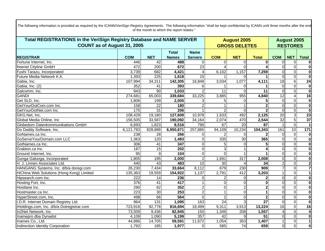| <b>Total REGISTRATIONS in the VeriSign Registry Database and NAME SERVER</b> |                  |                  |              |                  | <b>August 2005</b> | <b>August 2005</b>   |                 |                 |                 |                         |
|------------------------------------------------------------------------------|------------------|------------------|--------------|------------------|--------------------|----------------------|-----------------|-----------------|-----------------|-------------------------|
| COUNT as of August 31, 2005                                                  |                  |                  |              |                  |                    | <b>GROSS DELETES</b> |                 |                 | <b>RESTORES</b> |                         |
|                                                                              |                  |                  | <b>Total</b> | <b>Name</b>      |                    |                      |                 |                 |                 |                         |
| <b>REGISTRAR</b>                                                             | <b>COM</b>       | <b>NET</b>       | <b>Names</b> | <b>Servers</b>   | <b>COM</b>         | <b>NET</b>           | <b>Total</b>    | <b>COM</b>      | <b>NET</b>      | <b>Total</b>            |
| Fortune Internet, Inc.                                                       | 446              | 42               | 488          | $\Omega$         | $\Omega$           | $\Omega$             | 0               | $\Omega$        | $\mathbf 0$     |                         |
| freenet Cityline GmbH                                                        | 472              | $\overline{200}$ | 672          | 23               |                    | $\Omega$             |                 | $\Omega$        | $\overline{0}$  | $\overline{\mathbf{0}}$ |
| Fushi Tarazu, Incorporated                                                   | 3,739            | 682              | 4,421        | $\overline{4}$   | 6,102              | 1,157                | 7,259           | $\overline{0}$  | $\overline{0}$  | $\bf{0}$                |
| Future Media Network K.K.                                                    | 1,393            | $\overline{225}$ | 1,618        | $\overline{15}$  |                    | $\Omega$             |                 | $\overline{0}$  | $\overline{0}$  | $\overline{\mathbf{0}}$ |
| Gabia, Inc.                                                                  | 107,994          | 34,311           | 142,305      | 16,848           | 3,034              | 1,077                | 4,111           | $\overline{18}$ | $\overline{6}$  | 24                      |
| Gabia, Inc. (2)                                                              | 352              | 41               | 393          | 6                |                    | $\Omega$             |                 | $\Omega$        | $\overline{0}$  | $\boldsymbol{0}$        |
| Galcomm, Inc.                                                                | 943              | 90               | 1,033        | $\overline{2}$   | 11                 | $\Omega$             | 11              | $\Omega$        | $\overline{0}$  | $\overline{\mathbf{0}}$ |
| GANDI                                                                        | 274,681          | 65,003           | 339,684      | 33,225           | 3,885              | 955                  | 4,840           | 12              | $\overline{4}$  | 16                      |
| Get SLD, Inc.                                                                | 1,806            | 199              | 2,005        |                  | 5                  | $\Omega$             | 5 <sub>l</sub>  | $\Omega$        | $\overline{0}$  | $\overline{\mathbf{0}}$ |
| GetYourDotCom.com Inc.                                                       | 158              | $\overline{22}$  | 180          | $\overline{2}$   |                    |                      | $\overline{2}$  | $\Omega$        | $\overline{0}$  | $\overline{\mathbf{0}}$ |
| GetYourDotNet.com Inc                                                        | 175              | 31               | 206          |                  | $\overline{2}$     | $\Omega$             |                 | $\Omega$        | $\Omega$        | $\overline{\mathbf{0}}$ |
| GKG.Net, Inc.                                                                | 108,429          | 19,180           | 127,609      | 10,978           | 1,633              | 492                  | 2,125           | $\overline{20}$ | 3               | $\overline{23}$         |
| Global Media Online, Inc.                                                    | 156,505          | 33,587           | 190,092      | 34,164           | 2,074              | 470                  | 2,544           | 32              | $5\overline{)}$ | $\overline{37}$         |
| Globedom Datenkommunikations GmbH                                            | 6,693            | 1,823            | 8,516        | 790              | 67                 | $\overline{20}$      | 87              |                 | $\overline{0}$  |                         |
| Go Daddy Software, Inc.                                                      | 6,121,783        | 828,888          | 6,950,671    | 257,885          | 94,109             | 10,234               | 104,343         | 161             | 10              | 171                     |
| GoNames.ca Inc.                                                              | 238              | $\overline{28}$  | 266          | 0                |                    | $\Omega$             |                 | $\Omega$        | $\overline{0}$  | $\bf{0}$                |
| GoServeYourDomain.com LLC                                                    | 1,363            | 120              | 1,483        | $\Omega$         | 335                | $\overline{30}$      | 365             | $\overline{0}$  | $\overline{0}$  | $\overline{\mathbf{0}}$ |
| GotNames.ca Inc.                                                             | 306              | $\overline{41}$  | 347          | $\mathbf 0$      | 5                  | $\mathbf 0$          | 5 <sup>1</sup>  | $\overline{0}$  | $\overline{0}$  | $\overline{\mathbf{0}}$ |
| Grabton.ca Inc.                                                              | 187              | 15               | 202          | $\Omega$         | 3                  |                      |                 | $\Omega$        | $\overline{0}$  | $\overline{\mathbf{0}}$ |
| Ground Internet, Inc.                                                        | $\overline{95}$  | 9                | 104          | $\mathbf 0$      | $\Omega$           |                      |                 | $\Omega$        | $\overline{0}$  | $\overline{\mathbf{0}}$ |
| Gunga Galunga, Incorporated                                                  | 1,805            | 195              | 2,000        | $\overline{2}$   | 1,691              | 317                  | 2,008           | $\Omega$        | $\overline{0}$  | $\overline{\mathbf{0}}$ |
| H. J. Linnen Associates Ltd                                                  | 440              | 43               | 483          | 10               | 30                 |                      | 34              | $\overline{2}$  | $\overline{0}$  | $\overline{2}$          |
| HANGANG Systems, Inc. d/b/a doregi.com                                       | 26,230           | 7,434            | 33,664       | 8,112            | 679                | 230                  | 909             | $\overline{7}$  | $\overline{0}$  | $\overline{\mathbf{7}}$ |
| HiChina Web Solutions (Hong Kong) Limited                                    | 135,363          | 19,559           | 154,922      | 1,137            | 2,791              | 412                  | 3,203           |                 | $\overline{0}$  | $\mathbf{1}$            |
| Hipsearch.com Inc.                                                           | 222              | 14               | 236          | $\mathbf 0$      |                    | $\Omega$             |                 | $\overline{0}$  | $\overline{0}$  | $\overline{\mathbf{0}}$ |
| Hosting Fort, Inc.                                                           | 376              | $\overline{41}$  | 417          |                  | $\mathbf 0$        | $\Omega$             | $\bf{0}$        | $\overline{0}$  | $\overline{0}$  | $\overline{\mathbf{0}}$ |
| Hostlane Inc.                                                                | 290              | 62               | 352          | $\boldsymbol{2}$ | $\mathbf 0$        | $\overline{2}$       | $\mathbf 2$     | $\Omega$        | $\overline{0}$  | $\overline{\mathbf{0}}$ |
| Hostmaster.ca Inc.                                                           | $\overline{223}$ | 30               | 253          | $\overline{2}$   |                    | $\overline{0}$       |                 | $\overline{0}$  | $\overline{0}$  | $\overline{\mathbf{0}}$ |
| HyperStreet.com, Inc.                                                        | 498              | 66               | 564          | $\Omega$         | $\overline{2}$     | $\Omega$             | $\overline{2}$  | $\Omega$        | $\overline{0}$  | $\overline{\mathbf{0}}$ |
| I.D.R. Internet Domain Registry Ltd.                                         | 964              | $\overline{131}$ | 1,095        | 163              | $\overline{24}$    | 3                    | $\overline{27}$ | $\Omega$        | $\overline{0}$  | $\overline{\mathbf{0}}$ |
| iHoldings.com, Inc. d/b/a Dotregistrar.com                                   | 723,916          | 92,778           | 816,694      | 18,499           | 9,311              | 3,913                | 13,224          | 16              | $\overline{0}$  | 16                      |
| In2Net Network, Inc.                                                         | 73,509           | 9,436            | 82,945       | 150              | 1,349              | 208                  | 1,557           | $\overline{4}$  | $\overline{0}$  | 4                       |
| Inamepro dba Dynadot                                                         | 4,109            | 1,090            | 5,199        | 357              | 42                 |                      | 51              | $\Omega$        | $\overline{0}$  | $\overline{\mathbf{0}}$ |
| Inames Co., Ltd.                                                             | 44,886           | 14,705           | 59,591       | 11,672           | 1,054              | $\frac{1}{353}$      | 1,407           |                 | $\overline{0}$  |                         |
| Indirection Identity Corporation                                             | 1,792            | 185              | 1,977        | $\Omega$         | 585                | $\overline{74}$      | 659             | $\overline{O}$  | $\overline{0}$  | $\mathbf 0$             |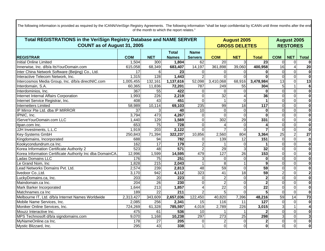| Total REGISTRATIONS in the VeriSign Registry Database and NAME SERVER |                    |                  |                  |                 | <b>August 2005</b> | <b>August 2005</b>   |                         |                |                 |                         |
|-----------------------------------------------------------------------|--------------------|------------------|------------------|-----------------|--------------------|----------------------|-------------------------|----------------|-----------------|-------------------------|
| <b>COUNT as of August 31, 2005</b>                                    |                    |                  |                  |                 |                    | <b>GROSS DELETES</b> |                         |                | <b>RESTORES</b> |                         |
|                                                                       |                    |                  | <b>Total</b>     | <b>Name</b>     |                    |                      |                         |                |                 |                         |
| <b>REGISTRAR</b>                                                      | <b>COM</b>         | <b>NET</b>       | <b>Names</b>     | <b>Servers</b>  | <b>COM</b>         | <b>NET</b>           | <b>Total</b>            | <b>COM</b>     | <b>NET</b>      | <b>Total</b>            |
| <b>Initial Online Limited</b>                                         | 1,504              | 300              | 1,804            | 62              | $\overline{20}$    | 3                    | $\overline{23}$         | $\Omega$       | $\mathbf 0$     |                         |
| Innerwise, Inc. d/b/a ItsYourDomain.com                               | 615,058            | 68,349           | 683,407          | 14,197          | 361,898            | 39,060               | 400,958                 | 16             | 4               | $\overline{20}$         |
| Inter China Network Software (Beijing) Co., Ltd.                      | 17                 | 6                | 23               | $\mathbf 0$     | $\Omega$           | $\Omega$             | $\bf{0}$                | $\overline{0}$ | $\overline{0}$  | $\overline{\mathbf{0}}$ |
| Interactive Telecom Network, Inc.                                     | 1,315              | 128              | 1,443            | $\overline{2}$  | $\Omega$           | $\Omega$             | $\Omega$                | $\Omega$       | $\overline{0}$  | $\overline{\mathbf{0}}$ |
| Intercosmos Media Group, Inc. d/b/a directNIC.com                     | 1,005,455          | 132,161          | 1,137,616        | 52,098          | 3,410,068          | 68,916               | 3,478,984               | 13             | $\overline{0}$  | $\overline{13}$         |
| Interdomain, S.A.                                                     | 60,365             | 11,836           | 72,201           | 787             | 249                | 55                   | 304                     | 5              | $\mathbf{1}$    | 6                       |
| Interdominios, Inc.                                                   | 367                | 55               | 422              | $\Omega$        | $\Omega$           | $\Omega$             | $\bf{0}$                | $\overline{0}$ | $\overline{0}$  | $\overline{\mathbf{0}}$ |
| Internet Internal Affairs Corporation                                 | 1,993              | 226              | 2,219            | 0               | $\overline{32}$    |                      | 36                      | $\Omega$       | $\overline{0}$  | $\overline{\mathbf{0}}$ |
| Internet Service Registrar, Inc.                                      | 408                | 43               | 451              | $\overline{0}$  |                    | $\Omega$             |                         | $\overline{0}$ | $\overline{0}$  | $\overline{\mathbf{0}}$ |
| <b>Internetters Limited</b>                                           | 58,989             | 10,114           | 69,103           | 235             | 99                 | $\overline{18}$      | $\frac{117}{117}$       | $\overline{0}$ | $\overline{0}$  | $\overline{\mathbf{0}}$ |
| IP Mirror Pte Ltd. dba IP MIRROR                                      | $\overline{37}$    | 3                | 40               | 10              | $\overline{0}$     | $\overline{0}$       | $\bf{0}$                | $\Omega$       | $\overline{0}$  | $\overline{\mathbf{0}}$ |
| IPNIC, Inc.                                                           | 3,794              | 473              | 4,267            | $\Omega$        | $\Omega$           | $\Omega$             | $\Omega$                | $\Omega$       | $\Omega$        | $\overline{\mathbf{0}}$ |
| IServeYourDomain.com LLC                                              | 1,440              | 129              | 1,569            | $\mathbf 0$     | 302                | 29                   | 331                     | $\mathbf 0$    | $\overline{0}$  | $\overline{\mathbf{0}}$ |
| Itpan.com Inc.                                                        | 653                | $\overline{75}$  | $\overline{728}$ | $\mathbf 0$     |                    | $\Omega$             |                         | $\Omega$       | $\overline{0}$  | $\overline{\mathbf{0}}$ |
| JJH Investments, L.L.C                                                | 1,919              | 203              | 2,122            | $\Omega$        |                    | $\Omega$             |                         | $\Omega$       | $\overline{0}$  | $\overline{\mathbf{0}}$ |
| <b>Key-Systems GmbH</b>                                               | 250,843            | 71,394           | 322,237          | 10,856          | 2,560              | 804                  | 3,364                   | 25             | $\overline{2}$  | $\overline{27}$         |
| Kingdomains, Incorporated                                             | 688                | $\overline{94}$  | 782              | $\Omega$        | 139                | $\overline{12}$      | 151                     | $\overline{0}$ | $\overline{0}$  | $\mathbf 0$             |
| Kookycondundrum.ca Inc.                                               | 162                | $\overline{17}$  | 179              | $\overline{2}$  |                    | $\mathbf 0$          |                         | $\Omega$       | $\overline{0}$  | $\overline{\mathbf{0}}$ |
| Korea Information Certificate Authority 2                             | 523                | $\overline{48}$  | 571              | $\overline{2}$  | 29                 | 3                    | $\overline{32}$         | $\Omega$       | $\overline{0}$  | $\overline{\mathbf{0}}$ |
| Korea Information Certificate Authority Inc dba DomainCA              | 12,996             | 1,599            | 14,595           | 479             | 127                | $\overline{26}$      | 153                     | $\Omega$       | $\overline{0}$  | $\overline{\mathbf{0}}$ |
| Ladas Domains LLC                                                     | 176                | 75               | 251              | 3               | $\Omega$           | $\Omega$             | $\bf{0}$                | $\Omega$       | $\overline{0}$  | $\overline{\mathbf{0}}$ |
| Le Grand Nom, Inc                                                     | 1,828              | 215              | 2,043            |                 | 8                  |                      | 9                       | $\Omega$       | $\overline{0}$  | $\overline{\mathbf{0}}$ |
| Lead Networks Domains Pvt. Ltd.                                       | 2,574              | 239              | 2,813            | $\overline{48}$ | 59                 | $\overline{0}$       | 59                      | $\Omega$       | $\overline{0}$  | $\overline{\mathbf{0}}$ |
| livedoor Co., Ltd.                                                    | $\overline{3,}170$ | 942              | 4,112            | 323             | $\overline{41}$    | $\overline{18}$      | 59                      | $\overline{a}$ | $\overline{0}$  | $\overline{2}$          |
| LuckyDomains.ca, Inc.<br>Maindomain.ca Inc.                           | 203                | $\overline{20}$  | $\overline{223}$ | 0               | $\overline{2}$     | $\Omega$             | $\overline{\mathbf{2}}$ | $\overline{0}$ | $\overline{0}$  | $\overline{\mathbf{0}}$ |
|                                                                       | 204                | 26               | $\overline{230}$ | $\Omega$        | $\overline{2}$     | $\Omega$             | $\overline{2}$          | $\Omega$       | $\overline{0}$  | $\overline{\mathbf{0}}$ |
| Mark Barker Incorporated                                              | 1,644              | $\overline{213}$ | 1,857            |                 | $\overline{22}$    | $\Omega$             | $\overline{22}$         | $\Omega$       | $\Omega$        | $\overline{\mathbf{0}}$ |
| Matchnames.ca Inc                                                     | 189                | $\overline{22}$  | 211              | $\overline{2}$  | 5                  | $\Omega$             | 5                       | $\Omega$       | $\overline{0}$  | $\overline{\mathbf{0}}$ |
| Melbourne IT, Ltd. d/b/a Internet Names Worldwide                     | 2,313,427          | 343,609          | 2,657,036        | 122,450         | 40,820             | 7,396                | 48,216                  | 59             | $\overline{14}$ | $\overline{73}$         |
| Mobile Name Services, Inc.                                            | 2,085              | 256              | 2,341            | 15              | 116                | 11                   | 127                     | $\Omega$       | $\Omega$        | $\mathbf 0$             |
| Moniker Online Services, Inc.                                         | 724,269            | 61,328           | 785,597          | 4,019           | 2,789              | 226                  | 3,015                   | $\overline{3}$ | $\mathbf{1}$    |                         |
| Mouzz Interactive Inc.                                                | 475                | 61               | 536              | 10              |                    |                      |                         | $\Omega$       | $\overline{0}$  | $\overline{\mathbf{0}}$ |
| MPS Technosoft d/b/a signdomains.com                                  | 9,070              | 1,168            | 10,238           | 297             | 273                | 25                   | 298                     | $\overline{3}$ | $\overline{0}$  | $\overline{\mathbf{3}}$ |
| MyNameOnline.ca Inc.                                                  | 178                | 27               | 205              | 0               |                    | $\mathbf 0$          | $\mathbf{2}$            | $\overline{0}$ | $\overline{0}$  | $\bf{0}$                |
| Mystic Blizzard, Inc.                                                 | 295                | 43               | 338              |                 | $\Omega$           | $\Omega$             | $\mathbf{0}$            | $\overline{0}$ | $\overline{0}$  | $\overline{\mathbf{0}}$ |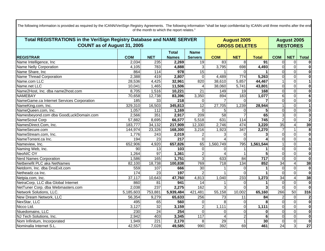| Total REGISTRATIONS in the VeriSign Registry Database and NAME SERVER |                 |                  |                  |                 | <b>August 2005</b>     | <b>August 2005</b><br><b>RESTORES</b> |                         |                  |                |                         |
|-----------------------------------------------------------------------|-----------------|------------------|------------------|-----------------|------------------------|---------------------------------------|-------------------------|------------------|----------------|-------------------------|
| <b>COUNT as of August 31, 2005</b>                                    |                 |                  |                  |                 |                        | <b>GROSS DELETES</b>                  |                         |                  |                |                         |
|                                                                       |                 |                  | <b>Total</b>     | <b>Name</b>     |                        |                                       |                         |                  |                |                         |
| <b>REGISTRAR</b>                                                      | <b>COM</b>      | <b>NET</b>       | <b>Names</b>     | <b>Servers</b>  | <b>COM</b>             | <b>NET</b>                            | <b>Total</b>            | <b>COM</b>       | <b>NET</b>     | <b>Total</b>            |
| Name Intelligence, Inc                                                | 2,034           | 235              | 2,269            | $\overline{19}$ | 83                     | 8                                     | $\overline{91}$         | $\overline{O}$   | $\mathbf 0$    | $\bf{0}$                |
| Name Nelly Corporation                                                | 4,105           | 783              | 4,888            | دی              | 3,795                  | 698                                   | 4,493                   | $\overline{0}$   | $\overline{0}$ | $\overline{\mathbf{0}}$ |
| Name Share, Inc                                                       | 864             | 114              | $\overline{978}$ | $\overline{15}$ |                        | $\Omega$                              |                         | $\overline{0}$   | $\overline{0}$ | $\overline{\mathbf{0}}$ |
| Name Thread Corporation                                               | 2,388           | 419              | 2,807            | $\overline{0}$  | 4,489                  | $\overline{774}$                      | 5,263                   | $\overline{0}$   | $\overline{0}$ | $\overline{\mathbf{0}}$ |
| Name.com LLC                                                          | 28,536          | 4,425            | 32,961           | 820             | 38,610                 | 5,857                                 | 44,467                  | $\mathbf 1$      | $\overline{0}$ | $\overline{1}$          |
| Name.net LLC                                                          | 10,041          | 1,465            | 11,506           | $\overline{4}$  | 38,060                 | 5,741                                 | 43,801                  | $\Omega$         | $\overline{0}$ | $\overline{\mathbf{0}}$ |
| Name2Host, Inc. dba name2host.com                                     | 8,705           | 1,516            | 10,221           | 21              | 149                    | 19                                    | 168                     | $\Omega$         | $\overline{0}$ | $\overline{\mathbf{0}}$ |
| <b>NAMEBAY</b>                                                        | 70,658          | 12,738           | 83,396           | 3,350           | 894                    | 183                                   | 1,077                   | $6 \overline{6}$ | $\overline{0}$ | $\overline{6}$          |
| NameGame.ca Internet Services Corporation                             | 185             | 33               | $\overline{218}$ | $\mathbf 0$     |                        | $\Omega$                              |                         | $\Omega$         | $\overline{0}$ | $\overline{\mathbf{0}}$ |
| NameKing.com, Inc.                                                    | 329,310         | 16,503           | 345,813          | 12              | 27,705                 | 1,239                                 | 28,944                  |                  | $\overline{0}$ | 1                       |
| NameQueen.com, Inc.                                                   | 1,057           | $\overline{112}$ | 1,169            | $\Omega$        | 5                      | $\Omega$                              |                         | $\Omega$         | $\Omega$       | $\overline{\mathbf{0}}$ |
| Namesbeyond.com dba GoodLuckDomain.com                                | 2,566           | 351              | 2,917            | 209             | 58                     |                                       | 65                      | $\overline{3}$   | $\overline{0}$ | $\overline{\mathbf{3}}$ |
| NameScout Corp                                                        | 57,882          | 8,695            | 66,577           | 5,518           | 631                    | 114                                   | 745                     | $\overline{2}$   | $\overline{0}$ | $\overline{2}$          |
| NamesDirect.Com, Inc.                                                 | 183,777         | 34,132           | 217,909          | 12,330          | 2,746                  | 474                                   | 3,220                   | 35               | 4              | $\overline{39}$         |
| NameSecure.com                                                        | 144,974         | 23,326           | 168,300          | 3,216           | 1,923                  | 347                                   | 2,270                   | $\overline{7}$   | $\mathbf{1}$   | $\overline{\mathbf{8}}$ |
| NameStream.com, Inc.                                                  | 1,776           | 243              | 2,019            | 2               | 3                      | $\Omega$                              | 3                       | $\overline{0}$   | $\overline{0}$ | $\overline{\mathbf{0}}$ |
| NameTorrent.ca Inc.                                                   | 194             | $\overline{23}$  | 217              | $\overline{0}$  |                        | $\Omega$                              |                         | $\overline{0}$   | $\overline{0}$ | $\overline{\mathbf{0}}$ |
| Nameview, Inc.                                                        | 652,906         | 4,920            | 657,826          | 65              | 1,560,749              | 795                                   | 1,561,544               |                  | $\overline{0}$ | $\overline{1}$          |
| Naming Web, Inc.                                                      | 90              | 13               | 103              | $\overline{0}$  | $\Omega$               |                                       |                         | $\Omega$         | $\overline{0}$ | $\overline{\mathbf{0}}$ |
| <b>NeoNIC OY</b>                                                      | 1,264           | 97               | 1,361            | $\overline{2}$  | $\boldsymbol{\Lambda}$ |                                       | 5                       | $\Omega$         | $\overline{0}$ | $\overline{\mathbf{0}}$ |
| <b>Nerd Names Corporation</b>                                         | 1,586           | 165              | 1,751            | 3               | 633                    | 84                                    | 717                     | $\overline{0}$   | $\overline{0}$ | $\overline{\mathbf{0}}$ |
| Netbenefit PLC aka NetNames                                           | 82,100          | 18,738           | 100,838          | 769             | 718                    | 134                                   | 852                     | 34               | $\overline{4}$ | $\overline{38}$         |
| Netdorm, Inc. dba DnsExit.com                                         | 559             | 107              | 666              | $\overline{30}$ |                        | $\Omega$                              |                         | $\Omega$         | $\overline{0}$ | $\overline{\mathbf{0}}$ |
| Netheadz.ca Inc.                                                      | $\frac{1}{174}$ | 23               | 197              | $\mathcal{P}$   |                        | $\Omega$                              |                         | $\Omega$         | $\overline{0}$ | $\overline{\mathbf{0}}$ |
| Netpia.com, Inc.                                                      | 37,117          | 10,643           | 47,760           | 4,813           | 1,040                  | 233                                   | 1,273                   | 34               | $\overline{4}$ | $\overline{38}$         |
| NetraCorp, LLC dba Global Internet                                    | 860             | 81               | 941              | 14              |                        | $\Omega$                              |                         | $\overline{0}$   | $\overline{0}$ | $\overline{\mathbf{0}}$ |
| NetTuner Corp. dba Webmasters.com                                     | 2,038           | $\overline{237}$ | 2,275            | 162             | 3                      | $\Omega$                              | $\overline{\mathbf{3}}$ | $\Omega$         | $\Omega$       | $\overline{\mathbf{0}}$ |
| Network Solutions, LLC.                                               | 5,185,603       | 753,881          | 5,939,484        | 421,481         | 55,158                 | 10,002                                | 65,160                  | 266              | 50             | 316                     |
| New Dream Network, LLC                                                | 56,354          | 9,279            | 65,633           | 256             | 73                     | 11                                    | 84                      | $\overline{a}$   | $\overline{0}$ | $\overline{\mathbf{c}}$ |
| NexStar, LLC                                                          | 495             | 65               | 560              | $\Omega$        | 8                      | $\Omega$                              | 8                       | $\overline{0}$   | $\overline{0}$ | $\overline{\mathbf{0}}$ |
| Nicco Ltd.                                                            | 3,127           | 32               | 3,159            | $\overline{2}$  | 1,111                  | $\mathbf 0$                           | 1,111                   | $\overline{0}$   | $\overline{0}$ | $\overline{\mathbf{0}}$ |
| Niuedomains, LLC                                                      | 230             | 24               | 254              | $\mathbf 0$     | $\Omega$               | $\Omega$                              | $\mathbf{0}$            | $\overline{0}$   | $\overline{0}$ | $\overline{\mathbf{0}}$ |
| NJ Tech Solutions, Inc.                                               | 2,942           | 403              | 3,345            | 117             |                        | $\overline{2}$                        | 6                       | $\Omega$         | $\overline{0}$ | $\overline{\mathbf{0}}$ |
| Nom Infinitum, Incorporated                                           | 1,949           | $\overline{221}$ | 2,170            | 8               | $\overline{29}$        |                                       | 30                      | $\overline{O}$   | $\overline{0}$ | $\overline{\mathbf{0}}$ |
| Nominalia Internet S.L.                                               | 42,557          | 7,028            | 49,585           | 990             | 392                    | 69                                    | 461                     | 24               | $\overline{3}$ | $\overline{27}$         |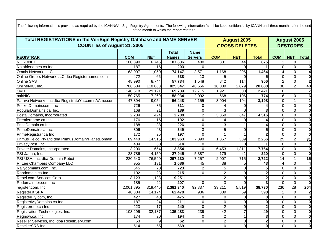| <b>Total REGISTRATIONS in the VeriSign Registry Database and NAME SERVER</b> |                  |                 |                  |                | <b>August 2005</b> | <b>August 2005</b>   |                |                |                 |                         |
|------------------------------------------------------------------------------|------------------|-----------------|------------------|----------------|--------------------|----------------------|----------------|----------------|-----------------|-------------------------|
| COUNT as of August 31, 2005                                                  |                  |                 |                  |                |                    | <b>GROSS DELETES</b> |                |                | <b>RESTORES</b> |                         |
|                                                                              |                  |                 | Total            | <b>Name</b>    |                    |                      |                |                |                 |                         |
| <b>REGISTRAR</b>                                                             | <b>COM</b>       | <b>NET</b>      | <b>Names</b>     | <b>Servers</b> | <b>COM</b>         | <b>NET</b>           | <b>Total</b>   | <b>COM</b>     | <b>NET</b>      | <b>Total</b>            |
| <b>NORDNET</b>                                                               | 100,890          | 6,746           | 107,636          | 480            | 831                | 44                   | 875            |                | $\overline{0}$  | 1                       |
| Notablenames.ca Inc                                                          | 187              | 16              | 203              | $\Omega$       |                    | $\Omega$             |                | $\Omega$       | $\Omega$        | $\bf{0}$                |
| Omnis Network, LLC                                                           | 63,097           | 11,050          | 74,147           | 3,571          | 1,168              | 296                  | 1,464          | 4              | $\overline{0}$  | $\overline{\mathbf{4}}$ |
| Online Orders Network LLC dba Registernames.com                              | 472              | 66              | 538              | 13             |                    | $\Omega$             | 5              | $\Omega$       | $\overline{0}$  | $\overline{\mathbf{0}}$ |
| <b>Online SAS</b>                                                            | 48,990           | 8,744           | 57,734           | 1,548          | 842                | 114                  | 956            | $\overline{2}$ | $\overline{0}$  | $\overline{2}$          |
| OnlineNIC, Inc.                                                              | 706,684          | 118,663         | 825,347          | 40,656         | 18,009             | 2,879                | 20,888         | 38             | $\overline{2}$  | 40                      |
| <b>OVH</b>                                                                   | 140,618          | 29,121          | 169,739          | 12,715         | 1,921              | 500                  | 2,421          | 6              | $\mathbf{1}$    | $\overline{\mathbf{7}}$ |
| pairNIC                                                                      | 50,765           | 7,269           | 58,034           | 2,092          | 668                | 106                  | 774            | 6 <sup>1</sup> | $\overline{0}$  | $\overline{6}$          |
| Parava Networks Inc dba RegistrateYa.com nAAme.com                           | 47,394           | 9,054           | 56,448           | 4,155          | 3,004              | 194                  | 3,198          | $\overline{0}$ | $\mathbf{1}$    | $\overline{1}$          |
| PocketDomain.com, Inc                                                        | 726              | 85              | 811              | $\overline{0}$ |                    | $\Omega$             |                | $\Omega$       | $\overline{0}$  | $\overline{\mathbf{0}}$ |
| PopularDomains.ca, Inc.                                                      | 168              | 21              | 189              | $\mathbf 0$    |                    | $\Omega$             |                | $\overline{0}$ | $\overline{0}$  | $\overline{\mathbf{0}}$ |
| PostalDomains, Incorporated                                                  | 2,284            | 424             | 2,708            | $\overline{2}$ | 3,869              | 647                  | 4,516          | $\Omega$       | $\overline{0}$  | $\overline{\mathbf{0}}$ |
| Premiername.ca Inc                                                           | 176              | 16              | 192              | $\mathbf 0$    |                    | $\Omega$             |                | $\Omega$       | $\overline{0}$  | $\overline{\mathbf{0}}$ |
| PriceDomain.ca Inc                                                           | 188              | $\overline{38}$ | 226              | $\Omega$       | 3                  |                      |                | $\Omega$       | $\overline{0}$  | $\overline{\mathbf{0}}$ |
| PrimeDomain.ca Inc.                                                          | 306              | 43              | 349              | دى             | 5                  | $\Omega$             | 5              | $\Omega$       | $\overline{0}$  | $\overline{\mathbf{0}}$ |
| PrimeRegistrar.ca Inc                                                        | 172              | $\overline{25}$ | 197              | $\overline{0}$ |                    |                      |                | $\Omega$       | $\overline{0}$  | $\overline{\mathbf{0}}$ |
| Primus Telco Pty Ltd dba PrimusDomain/PlanetDomain                           | 89,448           | 14,515          | 103,963          | 7,890          | 1,867              | 389                  | 2,256          | 29             | $\overline{2}$  | 31                      |
| PrivacyPost, Inc.                                                            | 434              | 80              | 514              | $\overline{0}$ |                    | $\Omega$             |                | $\Omega$       | $\overline{0}$  | $\bf{0}$                |
| Private Domains, Incorporated                                                | 3,200            | 654             | 3,854            | $\Omega$       | 6,453              | 1,311                | 7,764          | $\overline{0}$ | $\overline{0}$  | $\overline{\mathbf{0}}$ |
| PSI-Japan, Inc.                                                              | 23,786           | 4,159           | 27,945           | 5,387          | 179                | 41                   | 220            | $\Omega$       | $\overline{0}$  | $\overline{\textbf{0}}$ |
| PSI-USA, Inc. dba Domain Robot                                               | 220,640          | 76,590          | 297,230          | 7,257          | 2,007              | $\overline{715}$     | 2,722          | 14             | $\mathbf{1}$    | 15                      |
| R. Lee Chambers Company LLC                                                  | 955              | 131             | 1,086            | 45             | 38                 | 5                    | 43             | 4              | $\overline{0}$  | 4                       |
| Rallydomains.com, Inc.                                                       | 645              | 78              | 723              | $\overline{2}$ | 5                  | $\Omega$             | 5              | $\Omega$       | $\overline{0}$  | $\overline{\mathbf{0}}$ |
| Randomain.ca Inc                                                             | 192              | $\overline{23}$ | 215              | $\overline{0}$ | $\overline{2}$     | $\Omega$             | $\overline{2}$ | $\Omega$       | $\overline{0}$  | $\overline{\mathbf{0}}$ |
| Rebel.com Services Corp.                                                     | 8,123            | 1,128           | 9,251            | 11             | $\overline{2}$     | $\Omega$             | $\mathbf 2$    | $\Omega$       | $\overline{0}$  | $\overline{\mathbf{0}}$ |
| Redomainder.com Inc                                                          | 185              | $\overline{22}$ | 207              | $\Omega$       | 3                  | $\Omega$             | 3              | $\Omega$       | $\overline{0}$  | $\overline{\mathbf{0}}$ |
| register.com, Inc.                                                           | 2,061,895        | 319,445         | 2,381,340        | 92,837         | 33,211             | 5,519                | 38,730         | 236            | 28              | 264                     |
| Register.it SPA                                                              | 48,304           | 14, 174         | 62,478           | 936            | 339                | 59                   | 398            | $\overline{2}$ | $\overline{0}$  | $\overline{\mathbf{2}}$ |
| RegisterFly.com, Inc.                                                        | 427              | 48              | 475              | $\mathbf 0$    | $\Omega$           | $\Omega$             | $\bf{0}$       | $\Omega$       | $\overline{0}$  | $\overline{\mathbf{0}}$ |
| RegisterMyDomains.ca Inc                                                     | 187              | 24              | $\overline{211}$ | $\overline{0}$ | $\Omega$           | $\Omega$             | $\bf{0}$       | $\Omega$       | $\overline{0}$  | $\overline{\mathbf{0}}$ |
| Registerone.ca Inc                                                           | 223              | $\overline{17}$ | 240              | $\Omega$       | $\overline{2}$     | $\Omega$             | $\mathbf{2}$   | $\Omega$       | $\overline{0}$  | $\overline{\mathbf{0}}$ |
| Registration Technologies, Inc.                                              | 103,296          | 32,187          | 135,483          | 239            | 42                 | $\overline{7}$       | 49             | $\Omega$       | $\overline{0}$  | $\overline{\mathbf{0}}$ |
| Regnow.ca, Inc.                                                              | 174              | $\overline{20}$ | 194              | $\mathbf 0$    | $\overline{2}$     | 1                    | 3              | $\Omega$       | $\overline{0}$  | $\overline{\mathbf{0}}$ |
| Reseller Services, Inc. dba ResellServ.com                                   | 53               | 9               | 62               | $\mathbf 0$    | $\overline{2}$     | $\Omega$             | $\mathbf{2}$   | $\Omega$       | $\overline{0}$  | $\overline{\mathbf{o}}$ |
| ResellerSRS Inc.                                                             | $\overline{514}$ | 55              | 569              |                | $\Omega$           | $\Omega$             | $\mathbf{0}$   | $\Omega$       | $\overline{0}$  | $\overline{\mathbf{0}}$ |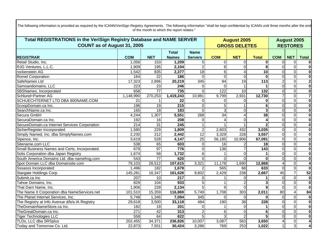| Total REGISTRATIONS in the VeriSign Registry Database and NAME SERVER |                  |                  |                  |                 | <b>August 2005</b> | <b>August 2005</b>   |                 |                |                         |                         |
|-----------------------------------------------------------------------|------------------|------------------|------------------|-----------------|--------------------|----------------------|-----------------|----------------|-------------------------|-------------------------|
| <b>COUNT as of August 31, 2005</b>                                    |                  |                  |                  |                 |                    | <b>GROSS DELETES</b> |                 |                | <b>RESTORES</b>         |                         |
|                                                                       |                  |                  | Total            | <b>Name</b>     |                    |                      |                 |                |                         |                         |
| <b>REGISTRAR</b>                                                      | <b>COM</b>       | <b>NET</b>       | <b>Names</b>     | <b>Servers</b>  | <b>COM</b>         | <b>NET</b>           | <b>Total</b>    | <b>COM</b>     | <b>NET</b>              | <b>Total</b>            |
| Retail Studio, Inc.                                                   | 1,056            | 153              | 1,209            | 5               | $\Omega$           | $\Omega$             | 0               | $\Omega$       | $\mathbf 0$             |                         |
| RJG Ventures, L.L.C.                                                  | 1,909            | 195              | 2,104            | $\overline{2}$  | 8                  | $\Omega$             | 8               | $\Omega$       | $\overline{\mathsf{o}}$ | $\overline{\mathbf{0}}$ |
| rockenstein AG                                                        | 1,542            | 835              | 2,377            | $\overline{18}$ | 6                  |                      | $\overline{10}$ | $\Omega$       | $\overline{0}$          | $\mathbf 0$             |
| Romel Corporation                                                     | 164              | $\overline{22}$  | 186              | $\Omega$        | $\overline{0}$     | $\Omega$             | $\Omega$        | $\Omega$       | $\overline{0}$          | $\overline{\mathbf{0}}$ |
| SafeNames Ltd                                                         | 17,323           | 2,896            | 20,219           | 345             | 94                 | $\overline{19}$      | $\frac{1}{113}$ | $\overline{2}$ | $\overline{0}$          | $\overline{2}$          |
| Samoandomains, LLC                                                    | 223              | 23               | 246              | $\Omega$        | $\Omega$           |                      |                 | $\Omega$       | $\overline{0}$          | $\overline{\mathbf{0}}$ |
| SBSNames, Incorporated                                                | 658              | $\overline{77}$  | $\frac{1}{735}$  | $\Omega$        | 122                | $\overline{10}$      | 132             | $\Omega$       | $\overline{0}$          | $\overline{\mathbf{0}}$ |
| Schlund+Partner AG                                                    | 1,148,990        | 270,253          | 1,419,243        | 10,981          | 9,799              | 2,931                | 12,730          | 7              | $\overline{0}$          | 7                       |
| SCHUECHTERNET LTD DBA 800NAME.COM                                     | 21               |                  | $\overline{22}$  | 0               | 0                  | $\Omega$             | $\bf{0}$        | $\Omega$       | $\overline{0}$          | $\overline{\mathbf{0}}$ |
| ScoopDomain.ca Inc.                                                   | 196              | $\overline{19}$  | $\overline{215}$ | $\mathbf 0$     | 5                  |                      | 6               | $\mathbf 0$    | $\overline{0}$          | $\overline{\mathbf{0}}$ |
| SearchName.ca Inc.                                                    | 165              | $\overline{18}$  | 183              | $\Omega$        | $\overline{3}$     | $\Omega$             | 3               | $\Omega$       | $\Omega$                | $\overline{\mathbf{0}}$ |
| Secura GmbH                                                           | 4,244            | 1,307            | 5,551            | 268             | 34                 | $\boldsymbol{4}$     | 38              | $\Omega$       | $\overline{0}$          | $\overline{\mathbf{0}}$ |
| SecuraDomain.ca Inc.                                                  | 192              | 16               | 208              | $\Omega$        | $\Delta$           | $\Omega$             |                 | $\Omega$       | $\overline{0}$          | $\overline{\mathbf{0}}$ |
| SecureDomain.ca Internet Services Corporation                         | $\overline{214}$ | 31               | 245              |                 |                    |                      |                 | $\Omega$       | $\overline{0}$          | $\overline{\mathbf{0}}$ |
| SicherRegister Incorporated                                           | 1,580            | 229              | 1,809            | $\overline{c}$  | 2,603              | 432                  | 3,035           | $\Omega$       | $\overline{0}$          | $\overline{\mathbf{0}}$ |
| Simply Named, Inc. dba SimplyNames.com                                | 2,230            | $\overline{212}$ | 2,442            | $\overline{12}$ | 3,329              | 228                  | 3,557           | $\overline{0}$ | $\overline{0}$          | $\overline{\mathbf{0}}$ |
| Sipence, Inc.                                                         | 3,619            | 528              | 4,147            | $\overline{25}$ | 56,185             | 10,906               | 67,091          | $\overline{0}$ | $\overline{0}$          | $\overline{\mathbf{0}}$ |
| Sitename.com LLC                                                      | 538              | 65               | 603              | $\mathbf 0$     | 16                 |                      | 18              | $\mathbf 0$    | $\overline{0}$          | $\overline{\mathbf{0}}$ |
| Small Business Names and Certs, Incorporated.                         | 679              | 97               | 776              | $\Omega$        | 136                |                      | $\frac{1}{143}$ | $\Omega$       | $\overline{0}$          | $\overline{\mathbf{0}}$ |
| Solis Corporation dba Japan Registry                                  | 1,674            | $\overline{58}$  | 1,732            | $6\phantom{1}6$ |                    | $\Omega$             |                 | $\Omega$       | $\overline{0}$          | $\overline{\mathbf{0}}$ |
| South America Domains Ltd. dba namefrog.com                           | 543              | $\overline{77}$  | 620              | $\Omega$        | $\Omega$           | $\Omega$             | $\Omega$        | $\Omega$       | $\overline{0}$          | $\overline{\mathbf{0}}$ |
| Spot Domain LLC dba Domainsite.com                                    | 79,103           | 28,512           | 107,615          | 3,321           | 11,178             | 1,690                | 12,868          |                | $\overline{0}$          | $\overline{\mathbf{4}}$ |
| <b>Sssasss Incorporated</b>                                           | 1,496            | 182              | 1,678            | 2               | 565                | 68                   | 633             | $\Omega$       | $\overline{0}$          | $\overline{\mathbf{0}}$ |
| Stargate Holdings Corp.                                               | 145,281          | 16,347           | 161,628          | 9,602           | 2,429              | 238                  | 2,667           | 45             | $\overline{7}$          | 52                      |
| Submit.ca Inc                                                         | 207              | 10               | $\overline{217}$ | $\Omega$        |                    | $\Omega$             |                 | $\overline{0}$ | $\overline{0}$          | $\overline{\mathbf{0}}$ |
| Tahoe Domains, Inc.                                                   | 829              | 104              | $\overline{933}$ | 5               |                    |                      | 3               | $\mathbf 0$    | $\overline{0}$          | $\overline{\mathbf{0}}$ |
| That Darn Name, Inc.                                                  | 1,906            | 228              | 2,134            | 5               | 9                  | $\Omega$             | 9               | $\Omega$       | $\Omega$                | $\overline{\mathbf{0}}$ |
| The Name It Corporation dba NameServices.net                          | 101,510          | 15,359           | 116,869          | 5,749           | 1,708              | 303                  | 2,011           | 80             | 4                       | 84                      |
| The Planet Internet Services, Inc.                                    | 5,748            | 1,346            | 7,094            | 345             | $\Omega$           | $\Omega$             | $\Omega$        | $\Omega$       | $\overline{0}$          | $\mathbf 0$             |
| The Registry at Info Avenue d/b/a IA Registry                         | 29,618           | 3,500            | 33,118           | 484             | 190                | $\overline{38}$      | 228             | $\Omega$       | $\overline{0}$          | $\overline{\mathbf{0}}$ |
| TheDomainNameStore.ca Inc.                                            | 182              | 19               | 201              | $\Omega$        |                    | $\Omega$             |                 | $\Omega$       | $\overline{0}$          | $\mathbf 0$             |
| TheGreatDomain.ca Inc.                                                | $\overline{271}$ | $\overline{42}$  | 313              | $\overline{2}$  | 6                  | $\Omega$             | 6               | $\Omega$       | $\overline{0}$          | $\overline{\mathbf{0}}$ |
| <b>Tiger Technologies LLC</b>                                         | 558              | 64               | 622              | 5               | 3                  |                      | 5 <sup>1</sup>  | $\Omega$       | $\overline{0}$          | $\bf{0}$                |
| TLDs, LLC dba SRSplus                                                 | 202,455          | 34,371           | 236,826          | 10,007          | 3,087              | 563                  | 3,650           |                | $\overline{0}$          |                         |
| Today and Tomorrow Co. Ltd.                                           | 22,873           | 7,551            | 30,424           | 3,286           | 769                | 253                  | 1,022           |                | $\overline{3}$          | 4                       |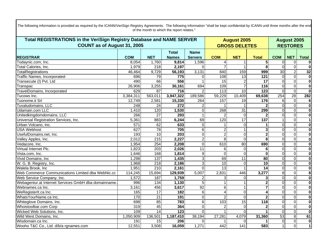| <b>Total REGISTRATIONS in the VeriSign Registry Database and NAME SERVER</b> |                  |                  |                  |                           | <b>August 2005</b> |                      | <b>August 2005</b>      |                 |                 |                         |
|------------------------------------------------------------------------------|------------------|------------------|------------------|---------------------------|--------------------|----------------------|-------------------------|-----------------|-----------------|-------------------------|
| <b>COUNT as of August 31, 2005</b>                                           |                  |                  |                  |                           |                    | <b>GROSS DELETES</b> |                         |                 | <b>RESTORES</b> |                         |
|                                                                              |                  |                  | Total            | <b>Name</b>               |                    |                      |                         |                 |                 |                         |
| <b>REGISTRAR</b>                                                             | <b>COM</b>       | <b>NET</b>       | <b>Names</b>     | <b>Servers</b>            | <b>COM</b>         | <b>NET</b>           | <b>Total</b>            | <b>COM</b>      | <b>NET</b>      | <b>Total</b>            |
| Todaynic.com, Inc.                                                           | 8,054            | 1,760            | 9,814            | 1,596                     | $\overline{4}$     |                      | 5 <sup>1</sup>          | $\Omega$        | $\Omega$        |                         |
| Total Calories, Inc.                                                         | 1,979            | $\overline{218}$ | 2,197            | $\Omega$                  |                    |                      | 8                       | $\Omega$        | $\overline{0}$  | $\Omega$                |
| TotalRegistrations                                                           | 46,464           | 9,729            | 56,193           | 3,131                     | 840                | 159                  | 999                     | $\overline{30}$ | $\overline{2}$  | 32                      |
| Traffic Names, Incorporated-                                                 | 696              | 79               | 775              | $\Omega$                  | 108                | $\overline{13}$      | 121                     | $\Omega$        | $\overline{0}$  | $\bf{0}$                |
| Transecute (I) Pvt. Ltd                                                      | 490              | 66               | 556              |                           | 15                 |                      | $\overline{17}$         | $\Omega$        | $\overline{0}$  | $\overline{\mathbf{0}}$ |
| Transpac                                                                     | 26,906           | 3,255            | 30,161           | 694                       | 109                | 7                    | 116                     | $\Omega$        | $\mathbf 0$     | $\bf{0}$                |
| TravelDomains, Incorporated                                                  | 629              | 87               | 716              |                           | $\overline{113}$   | $\overline{10}$      | 123                     | $\Omega$        | $\overline{0}$  | $\boldsymbol{0}$        |
| Tucows Inc.                                                                  | 3,384,311        | 563,011          | 3,947,322        | 189,586                   | 59,229             | 10,409               | 69,638                  | 254             | $\overline{28}$ | 282                     |
| Tuonome.it Srl                                                               | 12,749           | 2,581            | 15,330           | 264                       | 157                | 19                   | 176                     | 6               | $\mathbf 0$     | 6                       |
| Tuvaludomains, LLC                                                           | 248              | 24               | $\overline{272}$ | $\overline{c}$            |                    |                      | $\mathbf{2}$            | $\overline{0}$  | $\overline{0}$  | $\overline{\mathbf{0}}$ |
| Udamain.com LLC                                                              | 1,410            | 120              | 1,530            | $\overline{0}$            | 268                | $\overline{31}$      | 299                     | $\Omega$        | $\Omega$        | $\bf{0}$                |
| Unitedkingdomdomains, LLC                                                    | 266              | 27               | 293              |                           |                    | $\Omega$             | $\mathbf{2}$            | $\Omega$        | $\mathbf 0$     | $\bf{0}$                |
| Universal Registration Services, Inc.                                        | 5,361            | 883              | 6,244            | 69                        | 120                | $\overline{17}$      | $\overline{137}$        |                 | $\overline{0}$  |                         |
| Urban Volcano, Inc.                                                          | $\overline{571}$ | 62               | 633              | $\Omega$                  |                    | $\mathbf 0$          |                         | $\Omega$        | $\Omega$        | $\bf{0}$                |
| <b>USA Webhost</b>                                                           | 627              | 78               | 705              | 6                         | $\overline{2}$     |                      | 3                       | $\Omega$        | $\mathbf 0$     | $\bf{0}$                |
| UsefulDomains.net, Inc.                                                      | 193              | $\overline{10}$  | 203              | $\mathbf 0$               | $\overline{2}$     | $\mathbf 0$          | $\overline{2}$          | $\Omega$        | $\mathbf 0$     | $\bf{0}$                |
| Valley Apples, Inc.                                                          | 2,012            | 215              | 2,227            | $\overline{2}$            | 8                  | $\Omega$             | 8                       | $\Omega$        | $\overline{0}$  | $\overline{\mathbf{0}}$ |
| Vedacore, Inc.                                                               | 1,954            | 254              | 2,208            | $\mathbf 0$               | 610                | $\overline{80}$      | 690                     | $\mathbf 0$     | $\mathbf 0$     | $\bf{0}$                |
| Virtual Internet Plc.                                                        | 1,823            | $\overline{203}$ | 2,026            | $\overline{11}$           | 6                  | $\Omega$             | 6                       | $\Omega$        | $\overline{0}$  | $\bf{0}$                |
| Vista.com, Inc.                                                              | 1,646            | 168              | 1,814            | $\overline{9}$            | $\overline{0}$     | $\overline{0}$       | $\bf{0}$                | $\Omega$        | $\overline{0}$  | $\bf{0}$                |
| Vivid Domains, Inc                                                           | 1,298            | 137              | 1,435            | $\ensuremath{\mathsf{3}}$ | 69                 | 11                   | 80                      | $\Omega$        | $\mathbf 0$     | $\bf{0}$                |
| W. G. B. Registry, Inc.                                                      | 1,968            | 218              | 2,186            | $\overline{3}$            | 10                 | $\Omega$             | 10                      | $\Omega$        | $\mathbf 0$     | $\bf{0}$                |
| Walela Brook, Inc                                                            | 1,951            | $\overline{210}$ | 2,161            | $\Omega$                  | $\overline{13}$    |                      | 14                      | $\Omega$        | $\overline{0}$  | $\overline{\mathbf{0}}$ |
| Web Commerce Communications Limited dba WebNic.cc                            | 114,245          | 15,694           | 129,939          | 5,007                     | 2,831              | 446                  | 3,277                   | 8               | $\mathbf 0$     | $\overline{\mathbf{8}}$ |
| Web Service Company, Inc.                                                    | 1,572            | 187              | 1,759            |                           | 3                  | $\Omega$             | 3                       | $\Omega$        | $\mathbf 0$     | $\overline{\mathbf{0}}$ |
| Webagentur.at Internet Services GmbH dba domainname                          | 996              | 134              | 1,130            | $\overline{5}$            |                    |                      | $\overline{\mathbf{2}}$ | $\Omega$        | $\overline{0}$  | $\overline{\mathbf{0}}$ |
| Webnames.ca Inc.                                                             | 3,161            | 456              | 3,617            | 92                        | 6                  |                      |                         | $\Omega$        | $\Omega$        | $\bf{0}$                |
| WeRegisterIt.ca Inc.                                                         | 165              | 17               | 182              | $\overline{6}$            | $\Delta$           | $\Omega$             |                         | $\Omega$        | $\overline{0}$  | $\overline{\mathbf{0}}$ |
| WhatsYourName.ca Inc.                                                        | 170              | $\overline{21}$  | 191              | $\overline{0}$            | $\overline{2}$     | $\Omega$             | $\overline{2}$          | $\Omega$        | $\overline{0}$  | $\overline{\mathbf{0}}$ |
| Whiteglove Domains, Inc.                                                     | 698              | 85               | 783              | 6                         | 103                | $\overline{15}$      | 118                     | $\Omega$        | $\Omega$        | $\bf{0}$                |
| Whoistoolbar.com Corp                                                        | 319              | 45               | 364              | $\Omega$                  | 2                  | $\Omega$             | $\mathbf{2}$            | $\Omega$        | $\Omega$        | 0                       |
| Wicked Web Solutions, Inc.                                                   | 109              | $\overline{14}$  | 123              | $\Omega$                  |                    | $\Omega$             |                         | $\Omega$        | $\overline{0}$  | $\bf{0}$                |
| Wild West Domains, Inc.                                                      | 1,050,909        | 136,501          | 1,187,410        | 38,194                    | 27,281             | 4,079                | 31,360                  | 53              | 8               | 61                      |
| Wisdomain.ca Inc.                                                            | 191              | 15               | 206              | $\mathbf{0}$              |                    | $\Omega$             |                         | $\overline{0}$  | $\pmb{0}$       | $\bf{0}$                |
| Wooho T&C Co., Ltd. d/b/a rgnames.com                                        | 12,551           | 3,508            | 16,059           | 1,271                     | 442                | 141                  | 583                     |                 | $\mathbf 0$     |                         |